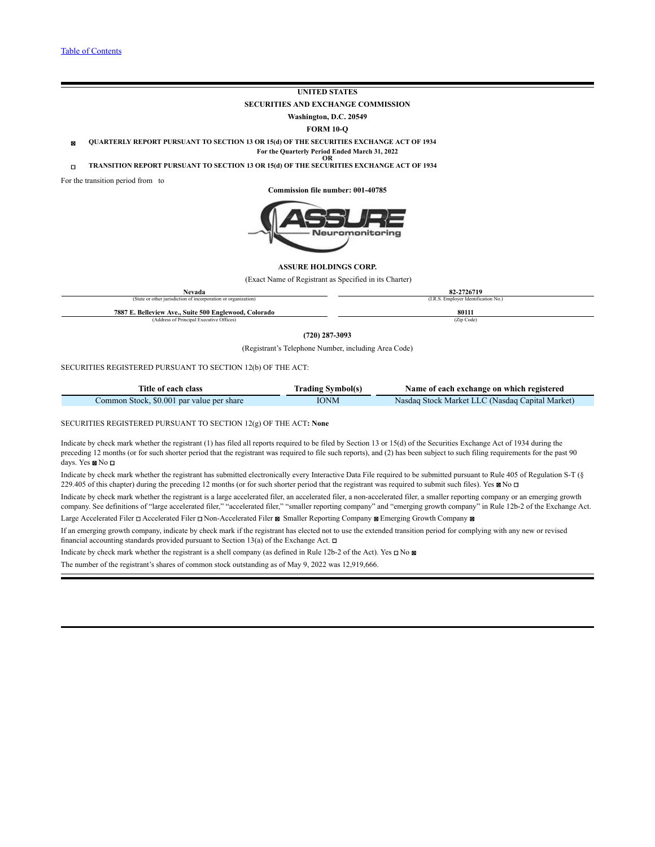# **UNITED STATES**

**SECURITIES AND EXCHANGE COMMISSION**

**Washington, D.C. 20549**

**FORM 10-Q**

☒ **QUARTERLY REPORT PURSUANT TO SECTION 13 OR 15(d) OF THE SECURITIES EXCHANGE ACT OF 1934 For the Quarterly Period Ended March 31, 2022**

**OR** ☐ **TRANSITION REPORT PURSUANT TO SECTION 13 OR 15(d) OF THE SECURITIES EXCHANGE ACT OF 1934**

For the transition period from to

**Commission file number: 001-40785**



#### **ASSURE HOLDINGS CORP.**

(Exact Name of Registrant as Specified in its Charter)

| Nevada                                                         | 82-2726719                           |  |  |  |
|----------------------------------------------------------------|--------------------------------------|--|--|--|
| (State or other jurisdiction of incorporation or organization) | (I.R.S. Employer Identification No.) |  |  |  |
| 7887 E. Belleview Ave., Suite 500 Englewood, Colorado          | 80111                                |  |  |  |
| (Address of Principal Executive Offices)                       | (Zip Code)                           |  |  |  |
| $(720)$ 287-3093                                               |                                      |  |  |  |
| (Registrant's Telephone Number, including Area Code)           |                                      |  |  |  |

SECURITIES REGISTERED PURSUANT TO SECTION 12(b) OF THE ACT:

| Title of each class                       | <b>Trading Symbol(s)</b> | Name of each exchange on which registered       |
|-------------------------------------------|--------------------------|-------------------------------------------------|
| Common Stock, \$0.001 par value per share | IONM                     | Nasdaq Stock Market LLC (Nasdaq Capital Market) |

SECURITIES REGISTERED PURSUANT TO SECTION 12(g) OF THE ACT**: None**

Indicate by check mark whether the registrant (1) has filed all reports required to be filed by Section 13 or 15(d) of the Securities Exchange Act of 1934 during the preceding 12 months (or for such shorter period that the registrant was required to file such reports), and (2) has been subject to such filing requirements for the past 90 days. Yes ☒ No ☐

Indicate by check mark whether the registrant has submitted electronically every Interactive Data File required to be submitted pursuant to Rule 405 of Regulation S-T (§ 229.405 of this chapter) during the preceding 12 months (or for such shorter period that the registrant was required to submit such files). Yes  $\boxtimes$  No  $\Box$ 

Indicate by check mark whether the registrant is a large accelerated filer, an accelerated filer, a non-accelerated filer, a smaller reporting company or an emerging growth company. See definitions of "large accelerated filer," "accelerated filer," "smaller reporting company" and "emerging growth company" in Rule 12b-2 of the Exchange Act.

Large Accelerated Filer □ Accelerated Filer □ Non-Accelerated Filer  $\boxtimes$  Smaller Reporting Company  $\boxtimes$  Emerging Growth Company  $\boxtimes$ 

If an emerging growth company, indicate by check mark if the registrant has elected not to use the extended transition period for complying with any new or revised financial accounting standards provided pursuant to Section 13(a) of the Exchange Act.  $\Box$ 

Indicate by check mark whether the registrant is a shell company (as defined in Rule 12b-2 of the Act). Yes ☐ No ☒

The number of the registrant's shares of common stock outstanding as of May 9, 2022 was 12,919,666.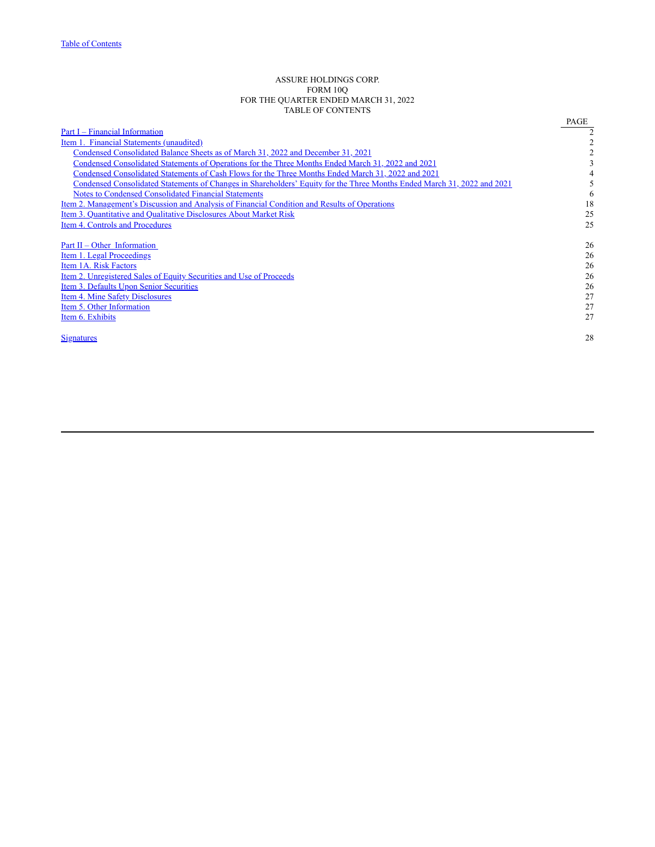## ASSURE HOLDINGS CORP. FORM 10Q FOR THE QUARTER ENDED MARCH 31, 2022 TABLE OF CONTENTS

<span id="page-1-0"></span>

| Part I – Financial Information<br>Item 1. Financial Statements (unaudited)<br>Condensed Consolidated Balance Sheets as of March 31, 2022 and December 31, 2021 | 3  |
|----------------------------------------------------------------------------------------------------------------------------------------------------------------|----|
|                                                                                                                                                                |    |
|                                                                                                                                                                |    |
|                                                                                                                                                                |    |
| Condensed Consolidated Statements of Operations for the Three Months Ended March 31, 2022 and 2021                                                             |    |
| Condensed Consolidated Statements of Cash Flows for the Three Months Ended March 31, 2022 and 2021                                                             |    |
| Condensed Consolidated Statements of Changes in Shareholders' Equity for the Three Months Ended March 31, 2022 and 2021                                        |    |
| <b>Notes to Condensed Consolidated Financial Statements</b>                                                                                                    | 6  |
| Item 2. Management's Discussion and Analysis of Financial Condition and Results of Operations                                                                  | 18 |
| Item 3. Quantitative and Qualitative Disclosures About Market Risk                                                                                             | 25 |
| Item 4. Controls and Procedures                                                                                                                                | 25 |
| Part II – Other Information                                                                                                                                    | 26 |
| Item 1. Legal Proceedings                                                                                                                                      | 26 |
| Item 1A. Risk Factors                                                                                                                                          | 26 |
| <u>Item 2. Unregistered Sales of Equity Securities and Use of Proceeds</u>                                                                                     | 26 |
| Item 3. Defaults Upon Senior Securities                                                                                                                        | 26 |
| Item 4. Mine Safety Disclosures                                                                                                                                | 27 |
| Item 5. Other Information                                                                                                                                      | 27 |
| Item 6. Exhibits                                                                                                                                               | 27 |
| <b>Signatures</b>                                                                                                                                              | 28 |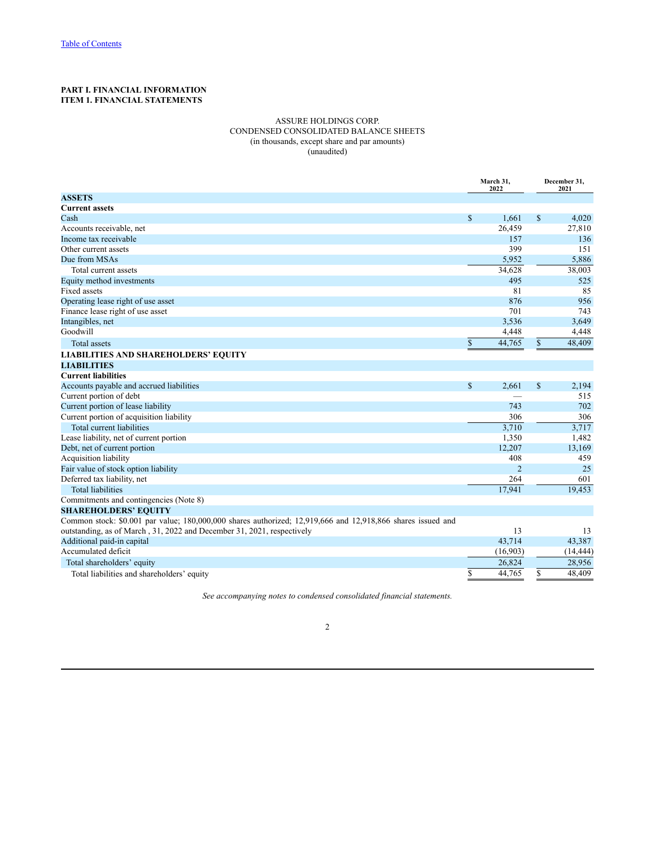# <span id="page-2-2"></span><span id="page-2-1"></span><span id="page-2-0"></span>**PART I. FINANCIAL INFORMATION ITEM 1. FINANCIAL STATEMENTS**

## ASSURE HOLDINGS CORP. CONDENSED CONSOLIDATED BALANCE SHEETS (in thousands, except share and par amounts) (unaudited)

|                                                                                                             |              | March 31.<br>2022 |              | December 31.<br>2021 |  |
|-------------------------------------------------------------------------------------------------------------|--------------|-------------------|--------------|----------------------|--|
| <b>ASSETS</b>                                                                                               |              |                   |              |                      |  |
| <b>Current assets</b>                                                                                       |              |                   |              |                      |  |
| Cash                                                                                                        | $\mathbb{S}$ | 1,661             | $\mathbf S$  | 4,020                |  |
| Accounts receivable, net                                                                                    |              | 26,459            |              | 27,810               |  |
| Income tax receivable                                                                                       |              | 157               |              | 136                  |  |
| Other current assets                                                                                        |              | 399               |              | 151                  |  |
| Due from MSAs                                                                                               |              | 5,952             |              | 5,886                |  |
| Total current assets                                                                                        |              | 34,628            |              | 38,003               |  |
| Equity method investments                                                                                   |              | 495               |              | 525                  |  |
| <b>Fixed assets</b>                                                                                         |              | 81                |              | 85                   |  |
| Operating lease right of use asset                                                                          |              | 876               |              | 956                  |  |
| Finance lease right of use asset                                                                            |              | 701               |              | 743                  |  |
| Intangibles, net                                                                                            |              | 3,536             |              | 3,649                |  |
| Goodwill                                                                                                    |              | 4,448             |              | 4,448                |  |
| Total assets                                                                                                | $\mathbb{S}$ | 44,765            | $\mathbb{S}$ | 48,409               |  |
| <b>LIABILITIES AND SHAREHOLDERS' EQUITY</b>                                                                 |              |                   |              |                      |  |
| <b>LIABILITIES</b>                                                                                          |              |                   |              |                      |  |
| <b>Current liabilities</b>                                                                                  |              |                   |              |                      |  |
| Accounts payable and accrued liabilities                                                                    | $\mathbb{S}$ | 2,661             | \$           | 2,194                |  |
| Current portion of debt                                                                                     |              |                   |              | 515                  |  |
| Current portion of lease liability                                                                          |              | 743               |              | 702                  |  |
| Current portion of acquisition liability                                                                    |              | 306               |              | 306                  |  |
| Total current liabilities                                                                                   |              | 3,710             |              | 3,717                |  |
| Lease liability, net of current portion                                                                     |              | 1,350             |              | 1,482                |  |
| Debt, net of current portion                                                                                |              | 12,207            |              | 13,169               |  |
| Acquisition liability                                                                                       |              | 408               |              | 459                  |  |
| Fair value of stock option liability                                                                        |              | $\overline{2}$    |              | 25                   |  |
| Deferred tax liability, net                                                                                 |              | 264               |              | 601                  |  |
| <b>Total liabilities</b>                                                                                    |              | 17.941            |              | 19,453               |  |
| Commitments and contingencies (Note 8)                                                                      |              |                   |              |                      |  |
| <b>SHAREHOLDERS' EQUITY</b>                                                                                 |              |                   |              |                      |  |
| Common stock: \$0.001 par value; 180,000,000 shares authorized; 12,919,666 and 12,918,866 shares issued and |              |                   |              |                      |  |
| outstanding, as of March, 31, 2022 and December 31, 2021, respectively                                      |              | 13                |              | 13                   |  |
| Additional paid-in capital                                                                                  |              | 43,714            |              | 43,387               |  |
| Accumulated deficit                                                                                         |              | (16,903)          |              | (14, 444)            |  |
| Total shareholders' equity                                                                                  |              | 26,824            |              | 28,956               |  |
| Total liabilities and shareholders' equity                                                                  | \$           | 44,765            | \$           | 48,409               |  |

*See accompanying notes to condensed consolidated financial statements.*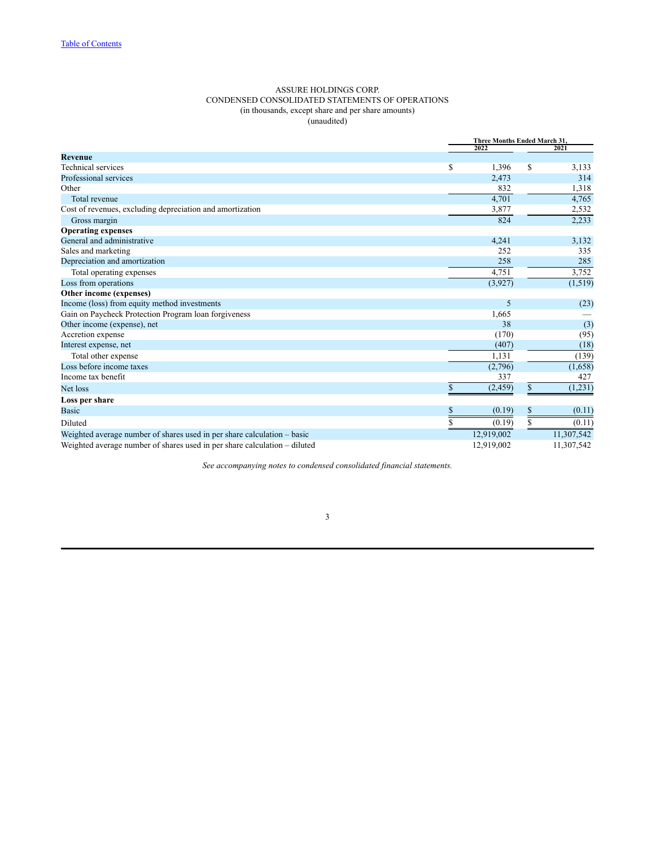## ASSURE HOLDINGS CORP. CONDENSED CONSOLIDATED STATEMENTS OF OPERATIONS (in thousands, except share and per share amounts) (unaudited)

<span id="page-3-0"></span>

|                                                                           |    | Three Months Ended March 31, |    |            |  |
|---------------------------------------------------------------------------|----|------------------------------|----|------------|--|
|                                                                           |    | 2022                         |    | 2021       |  |
| <b>Revenue</b>                                                            |    |                              |    |            |  |
| <b>Technical services</b>                                                 | \$ | 1,396                        | \$ | 3,133      |  |
| Professional services                                                     |    | 2,473                        |    | 314        |  |
| Other                                                                     |    | 832                          |    | 1,318      |  |
| Total revenue                                                             |    | 4,701                        |    | 4,765      |  |
| Cost of revenues, excluding depreciation and amortization                 |    | 3,877                        |    | 2,532      |  |
| Gross margin                                                              |    | 824                          |    | 2,233      |  |
| <b>Operating expenses</b>                                                 |    |                              |    |            |  |
| General and administrative                                                |    | 4,241                        |    | 3,132      |  |
| Sales and marketing                                                       |    | 252                          |    | 335        |  |
| Depreciation and amortization                                             |    | 258                          |    | 285        |  |
| Total operating expenses                                                  |    | 4,751                        |    | 3,752      |  |
| Loss from operations                                                      |    | (3,927)                      |    | (1, 519)   |  |
| Other income (expenses)                                                   |    |                              |    |            |  |
| Income (loss) from equity method investments                              |    | 5                            |    | (23)       |  |
| Gain on Paycheck Protection Program loan forgiveness                      |    | 1,665                        |    |            |  |
| Other income (expense), net                                               |    | 38                           |    | (3)        |  |
| Accretion expense                                                         |    | (170)                        |    | (95)       |  |
| Interest expense, net                                                     |    | (407)                        |    | (18)       |  |
| Total other expense                                                       |    | 1,131                        |    | (139)      |  |
| Loss before income taxes                                                  |    | (2,796)                      |    | (1,658)    |  |
| Income tax benefit                                                        |    | 337                          |    | 427        |  |
| Net loss                                                                  | \$ | (2, 459)                     | \$ | (1,231)    |  |
| Loss per share                                                            |    |                              |    |            |  |
| <b>Basic</b>                                                              | \$ | (0.19)                       | \$ | (0.11)     |  |
| Diluted                                                                   | Ŝ  | (0.19)                       | \$ | (0.11)     |  |
| Weighted average number of shares used in per share calculation – basic   |    | 12,919,002                   |    | 11,307,542 |  |
| Weighted average number of shares used in per share calculation – diluted |    | 12,919,002                   |    | 11,307,542 |  |

*See accompanying notes to condensed consolidated financial statements.*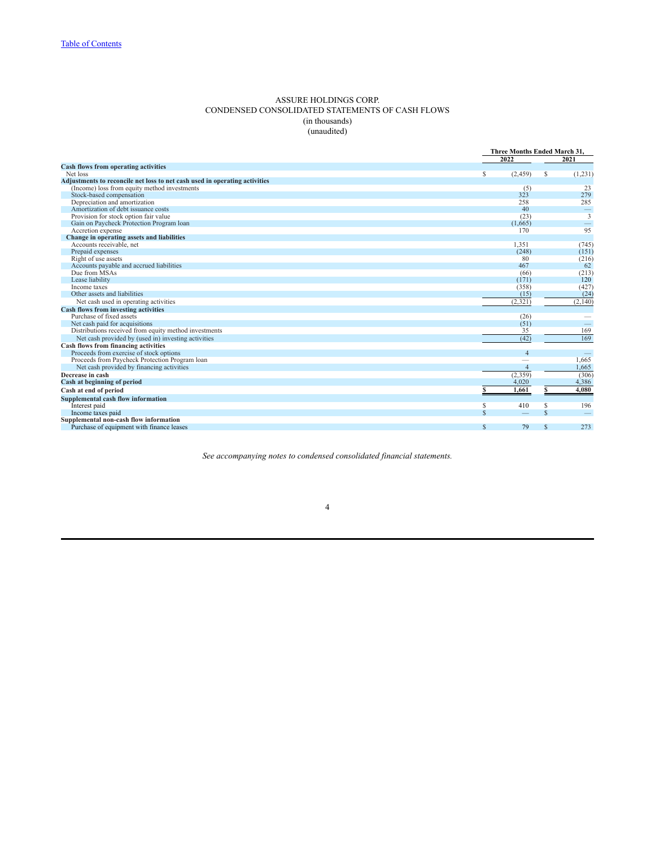### ASSURE HOLDINGS CORP. CONDENSED CONSOLIDATED STATEMENTS OF CASH FLOWS (in thousands) (unaudited)

<span id="page-4-0"></span>

| 2022<br>2021<br><b>Cash flows from operating activities</b><br>Net loss<br>S<br>(2, 459)<br>S<br>(1, 231)<br>Adjustments to reconcile net loss to net cash used in operating activities<br>(Income) loss from equity method investments<br>23<br>(5)<br>323<br>279<br>Stock-based compensation<br>Depreciation and amortization<br>285<br>258<br>Amortization of debt issuance costs<br>40<br>$\overline{\phantom{m}}$<br>$\overline{\mathbf{3}}$<br>Provision for stock option fair value<br>(23)<br>Gain on Paycheck Protection Program loan<br>(1,665)<br>95<br>Accretion expense<br>170<br>Change in operating assets and liabilities<br>Accounts receivable, net<br>1.351<br>(745)<br>Prepaid expenses<br>(248)<br>(151)<br>Right of use assets<br>80<br>(216)<br>62<br>Accounts payable and accrued liabilities<br>467<br>Due from MSAs<br>(213)<br>(66)<br>120<br>Lease liability<br>(171)<br>(427)<br>(358)<br>Income taxes<br>Other assets and liabilities<br>(15)<br>(24)<br>(2,321)<br>(2,140)<br>Net cash used in operating activities<br><b>Cash flows from investing activities</b><br>Purchase of fixed assets<br>(26)<br>Net cash paid for acquisitions<br>(51)<br>$\hspace{0.1mm}-\hspace{0.1mm}$<br>Distributions received from equity method investments<br>169<br>35<br>169<br>(42)<br>Net cash provided by (used in) investing activities<br>Cash flows from financing activities<br>Proceeds from exercise of stock options<br>$\overline{4}$<br>1,665<br>Proceeds from Paycheck Protection Program loan<br>Net cash provided by financing activities<br>$\overline{4}$<br>1,665<br>(2,359)<br>Decrease in cash<br>(306)<br>4,386<br>Cash at beginning of period<br>4,020<br>4,080<br>1.661<br>Cash at end of period<br>Supplemental cash flow information<br>410<br>196<br>\$<br>S<br>Interest paid<br>$\mathcal{S}$<br>$\mathcal{S}$<br>Income taxes paid<br>Supplemental non-cash flow information<br>$\mathbf S$<br>79<br>273<br>Purchase of equipment with finance leases<br>S |  | Three Months Ended March 31. |
|-----------------------------------------------------------------------------------------------------------------------------------------------------------------------------------------------------------------------------------------------------------------------------------------------------------------------------------------------------------------------------------------------------------------------------------------------------------------------------------------------------------------------------------------------------------------------------------------------------------------------------------------------------------------------------------------------------------------------------------------------------------------------------------------------------------------------------------------------------------------------------------------------------------------------------------------------------------------------------------------------------------------------------------------------------------------------------------------------------------------------------------------------------------------------------------------------------------------------------------------------------------------------------------------------------------------------------------------------------------------------------------------------------------------------------------------------------------------------------------------------------------------------------------------------------------------------------------------------------------------------------------------------------------------------------------------------------------------------------------------------------------------------------------------------------------------------------------------------------------------------------------------------------------------------------------------------------------------------------------------------------------|--|------------------------------|
|                                                                                                                                                                                                                                                                                                                                                                                                                                                                                                                                                                                                                                                                                                                                                                                                                                                                                                                                                                                                                                                                                                                                                                                                                                                                                                                                                                                                                                                                                                                                                                                                                                                                                                                                                                                                                                                                                                                                                                                                           |  |                              |
|                                                                                                                                                                                                                                                                                                                                                                                                                                                                                                                                                                                                                                                                                                                                                                                                                                                                                                                                                                                                                                                                                                                                                                                                                                                                                                                                                                                                                                                                                                                                                                                                                                                                                                                                                                                                                                                                                                                                                                                                           |  |                              |
|                                                                                                                                                                                                                                                                                                                                                                                                                                                                                                                                                                                                                                                                                                                                                                                                                                                                                                                                                                                                                                                                                                                                                                                                                                                                                                                                                                                                                                                                                                                                                                                                                                                                                                                                                                                                                                                                                                                                                                                                           |  |                              |
|                                                                                                                                                                                                                                                                                                                                                                                                                                                                                                                                                                                                                                                                                                                                                                                                                                                                                                                                                                                                                                                                                                                                                                                                                                                                                                                                                                                                                                                                                                                                                                                                                                                                                                                                                                                                                                                                                                                                                                                                           |  |                              |
|                                                                                                                                                                                                                                                                                                                                                                                                                                                                                                                                                                                                                                                                                                                                                                                                                                                                                                                                                                                                                                                                                                                                                                                                                                                                                                                                                                                                                                                                                                                                                                                                                                                                                                                                                                                                                                                                                                                                                                                                           |  |                              |
|                                                                                                                                                                                                                                                                                                                                                                                                                                                                                                                                                                                                                                                                                                                                                                                                                                                                                                                                                                                                                                                                                                                                                                                                                                                                                                                                                                                                                                                                                                                                                                                                                                                                                                                                                                                                                                                                                                                                                                                                           |  |                              |
|                                                                                                                                                                                                                                                                                                                                                                                                                                                                                                                                                                                                                                                                                                                                                                                                                                                                                                                                                                                                                                                                                                                                                                                                                                                                                                                                                                                                                                                                                                                                                                                                                                                                                                                                                                                                                                                                                                                                                                                                           |  |                              |
|                                                                                                                                                                                                                                                                                                                                                                                                                                                                                                                                                                                                                                                                                                                                                                                                                                                                                                                                                                                                                                                                                                                                                                                                                                                                                                                                                                                                                                                                                                                                                                                                                                                                                                                                                                                                                                                                                                                                                                                                           |  |                              |
|                                                                                                                                                                                                                                                                                                                                                                                                                                                                                                                                                                                                                                                                                                                                                                                                                                                                                                                                                                                                                                                                                                                                                                                                                                                                                                                                                                                                                                                                                                                                                                                                                                                                                                                                                                                                                                                                                                                                                                                                           |  |                              |
|                                                                                                                                                                                                                                                                                                                                                                                                                                                                                                                                                                                                                                                                                                                                                                                                                                                                                                                                                                                                                                                                                                                                                                                                                                                                                                                                                                                                                                                                                                                                                                                                                                                                                                                                                                                                                                                                                                                                                                                                           |  |                              |
|                                                                                                                                                                                                                                                                                                                                                                                                                                                                                                                                                                                                                                                                                                                                                                                                                                                                                                                                                                                                                                                                                                                                                                                                                                                                                                                                                                                                                                                                                                                                                                                                                                                                                                                                                                                                                                                                                                                                                                                                           |  |                              |
|                                                                                                                                                                                                                                                                                                                                                                                                                                                                                                                                                                                                                                                                                                                                                                                                                                                                                                                                                                                                                                                                                                                                                                                                                                                                                                                                                                                                                                                                                                                                                                                                                                                                                                                                                                                                                                                                                                                                                                                                           |  |                              |
|                                                                                                                                                                                                                                                                                                                                                                                                                                                                                                                                                                                                                                                                                                                                                                                                                                                                                                                                                                                                                                                                                                                                                                                                                                                                                                                                                                                                                                                                                                                                                                                                                                                                                                                                                                                                                                                                                                                                                                                                           |  |                              |
|                                                                                                                                                                                                                                                                                                                                                                                                                                                                                                                                                                                                                                                                                                                                                                                                                                                                                                                                                                                                                                                                                                                                                                                                                                                                                                                                                                                                                                                                                                                                                                                                                                                                                                                                                                                                                                                                                                                                                                                                           |  |                              |
|                                                                                                                                                                                                                                                                                                                                                                                                                                                                                                                                                                                                                                                                                                                                                                                                                                                                                                                                                                                                                                                                                                                                                                                                                                                                                                                                                                                                                                                                                                                                                                                                                                                                                                                                                                                                                                                                                                                                                                                                           |  |                              |
|                                                                                                                                                                                                                                                                                                                                                                                                                                                                                                                                                                                                                                                                                                                                                                                                                                                                                                                                                                                                                                                                                                                                                                                                                                                                                                                                                                                                                                                                                                                                                                                                                                                                                                                                                                                                                                                                                                                                                                                                           |  |                              |
|                                                                                                                                                                                                                                                                                                                                                                                                                                                                                                                                                                                                                                                                                                                                                                                                                                                                                                                                                                                                                                                                                                                                                                                                                                                                                                                                                                                                                                                                                                                                                                                                                                                                                                                                                                                                                                                                                                                                                                                                           |  |                              |
|                                                                                                                                                                                                                                                                                                                                                                                                                                                                                                                                                                                                                                                                                                                                                                                                                                                                                                                                                                                                                                                                                                                                                                                                                                                                                                                                                                                                                                                                                                                                                                                                                                                                                                                                                                                                                                                                                                                                                                                                           |  |                              |
|                                                                                                                                                                                                                                                                                                                                                                                                                                                                                                                                                                                                                                                                                                                                                                                                                                                                                                                                                                                                                                                                                                                                                                                                                                                                                                                                                                                                                                                                                                                                                                                                                                                                                                                                                                                                                                                                                                                                                                                                           |  |                              |
|                                                                                                                                                                                                                                                                                                                                                                                                                                                                                                                                                                                                                                                                                                                                                                                                                                                                                                                                                                                                                                                                                                                                                                                                                                                                                                                                                                                                                                                                                                                                                                                                                                                                                                                                                                                                                                                                                                                                                                                                           |  |                              |
|                                                                                                                                                                                                                                                                                                                                                                                                                                                                                                                                                                                                                                                                                                                                                                                                                                                                                                                                                                                                                                                                                                                                                                                                                                                                                                                                                                                                                                                                                                                                                                                                                                                                                                                                                                                                                                                                                                                                                                                                           |  |                              |
|                                                                                                                                                                                                                                                                                                                                                                                                                                                                                                                                                                                                                                                                                                                                                                                                                                                                                                                                                                                                                                                                                                                                                                                                                                                                                                                                                                                                                                                                                                                                                                                                                                                                                                                                                                                                                                                                                                                                                                                                           |  |                              |
|                                                                                                                                                                                                                                                                                                                                                                                                                                                                                                                                                                                                                                                                                                                                                                                                                                                                                                                                                                                                                                                                                                                                                                                                                                                                                                                                                                                                                                                                                                                                                                                                                                                                                                                                                                                                                                                                                                                                                                                                           |  |                              |
|                                                                                                                                                                                                                                                                                                                                                                                                                                                                                                                                                                                                                                                                                                                                                                                                                                                                                                                                                                                                                                                                                                                                                                                                                                                                                                                                                                                                                                                                                                                                                                                                                                                                                                                                                                                                                                                                                                                                                                                                           |  |                              |
|                                                                                                                                                                                                                                                                                                                                                                                                                                                                                                                                                                                                                                                                                                                                                                                                                                                                                                                                                                                                                                                                                                                                                                                                                                                                                                                                                                                                                                                                                                                                                                                                                                                                                                                                                                                                                                                                                                                                                                                                           |  |                              |
|                                                                                                                                                                                                                                                                                                                                                                                                                                                                                                                                                                                                                                                                                                                                                                                                                                                                                                                                                                                                                                                                                                                                                                                                                                                                                                                                                                                                                                                                                                                                                                                                                                                                                                                                                                                                                                                                                                                                                                                                           |  |                              |
|                                                                                                                                                                                                                                                                                                                                                                                                                                                                                                                                                                                                                                                                                                                                                                                                                                                                                                                                                                                                                                                                                                                                                                                                                                                                                                                                                                                                                                                                                                                                                                                                                                                                                                                                                                                                                                                                                                                                                                                                           |  |                              |
|                                                                                                                                                                                                                                                                                                                                                                                                                                                                                                                                                                                                                                                                                                                                                                                                                                                                                                                                                                                                                                                                                                                                                                                                                                                                                                                                                                                                                                                                                                                                                                                                                                                                                                                                                                                                                                                                                                                                                                                                           |  |                              |
|                                                                                                                                                                                                                                                                                                                                                                                                                                                                                                                                                                                                                                                                                                                                                                                                                                                                                                                                                                                                                                                                                                                                                                                                                                                                                                                                                                                                                                                                                                                                                                                                                                                                                                                                                                                                                                                                                                                                                                                                           |  |                              |
|                                                                                                                                                                                                                                                                                                                                                                                                                                                                                                                                                                                                                                                                                                                                                                                                                                                                                                                                                                                                                                                                                                                                                                                                                                                                                                                                                                                                                                                                                                                                                                                                                                                                                                                                                                                                                                                                                                                                                                                                           |  |                              |
|                                                                                                                                                                                                                                                                                                                                                                                                                                                                                                                                                                                                                                                                                                                                                                                                                                                                                                                                                                                                                                                                                                                                                                                                                                                                                                                                                                                                                                                                                                                                                                                                                                                                                                                                                                                                                                                                                                                                                                                                           |  |                              |
|                                                                                                                                                                                                                                                                                                                                                                                                                                                                                                                                                                                                                                                                                                                                                                                                                                                                                                                                                                                                                                                                                                                                                                                                                                                                                                                                                                                                                                                                                                                                                                                                                                                                                                                                                                                                                                                                                                                                                                                                           |  |                              |
|                                                                                                                                                                                                                                                                                                                                                                                                                                                                                                                                                                                                                                                                                                                                                                                                                                                                                                                                                                                                                                                                                                                                                                                                                                                                                                                                                                                                                                                                                                                                                                                                                                                                                                                                                                                                                                                                                                                                                                                                           |  |                              |
|                                                                                                                                                                                                                                                                                                                                                                                                                                                                                                                                                                                                                                                                                                                                                                                                                                                                                                                                                                                                                                                                                                                                                                                                                                                                                                                                                                                                                                                                                                                                                                                                                                                                                                                                                                                                                                                                                                                                                                                                           |  |                              |
|                                                                                                                                                                                                                                                                                                                                                                                                                                                                                                                                                                                                                                                                                                                                                                                                                                                                                                                                                                                                                                                                                                                                                                                                                                                                                                                                                                                                                                                                                                                                                                                                                                                                                                                                                                                                                                                                                                                                                                                                           |  |                              |
|                                                                                                                                                                                                                                                                                                                                                                                                                                                                                                                                                                                                                                                                                                                                                                                                                                                                                                                                                                                                                                                                                                                                                                                                                                                                                                                                                                                                                                                                                                                                                                                                                                                                                                                                                                                                                                                                                                                                                                                                           |  |                              |
|                                                                                                                                                                                                                                                                                                                                                                                                                                                                                                                                                                                                                                                                                                                                                                                                                                                                                                                                                                                                                                                                                                                                                                                                                                                                                                                                                                                                                                                                                                                                                                                                                                                                                                                                                                                                                                                                                                                                                                                                           |  |                              |
|                                                                                                                                                                                                                                                                                                                                                                                                                                                                                                                                                                                                                                                                                                                                                                                                                                                                                                                                                                                                                                                                                                                                                                                                                                                                                                                                                                                                                                                                                                                                                                                                                                                                                                                                                                                                                                                                                                                                                                                                           |  |                              |

*See accompanying notes to condensed consolidated financial statements.*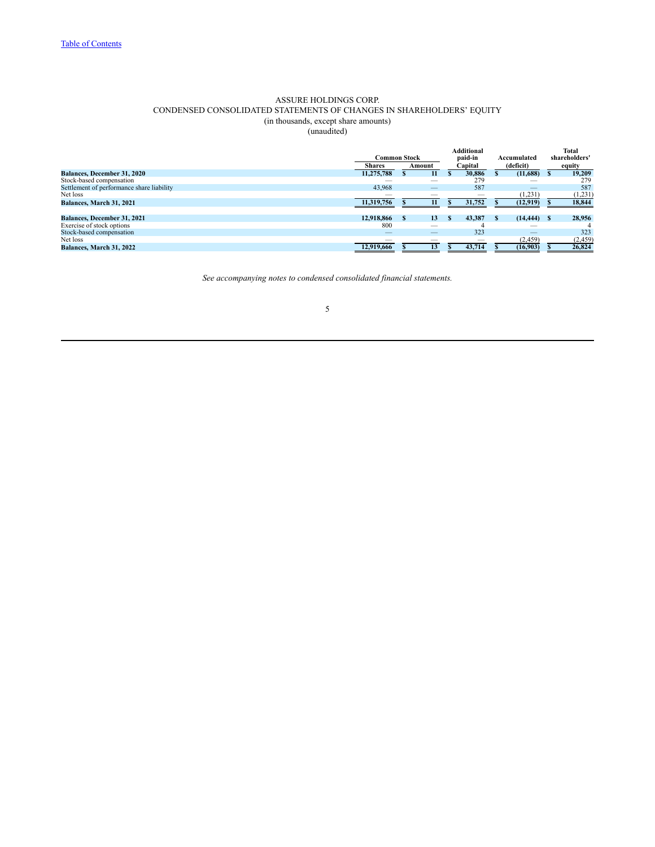# ASSURE HOLDINGS CORP. CONDENSED CONSOLIDATED STATEMENTS OF CHANGES IN SHAREHOLDERS' EQUITY (in thousands, except share amounts)

(unaudited)

<span id="page-5-0"></span>

|                                           | Common Stock             |                          | <b>Additional</b><br>paid-in | Total<br>shareholders' |              |
|-------------------------------------------|--------------------------|--------------------------|------------------------------|------------------------|--------------|
|                                           | <b>Shares</b>            | Amount                   | Capital                      | (deficit)              | equity       |
| <b>Balances, December 31, 2020</b>        | 11,275,788               | 11                       | 30.886                       | (11,688)               | 19,209       |
| Stock-based compensation                  |                          | _                        | 279                          |                        | 279          |
| Settlement of performance share liability | 43,968                   |                          | 587                          | –                      | 587          |
| Net loss                                  |                          | _                        | $\overline{\phantom{a}}$     | (1,231)                | (1, 231)     |
| <b>Balances, March 31, 2021</b>           | 11,319,756               | 11                       | 31,752                       | (12, 919)              | 18,844       |
|                                           |                          |                          |                              |                        |              |
| <b>Balances, December 31, 2021</b>        | 12,918,866               | 13                       | 43.387                       | (14, 444)              | 28,956<br>-8 |
| Exercise of stock options                 | 800                      | _                        |                              |                        |              |
| Stock-based compensation                  | –                        |                          | 323                          | –                      | 323          |
| Net loss                                  | $\overline{\phantom{a}}$ | $\overline{\phantom{a}}$ | $\overline{\phantom{a}}$     | (2, 459)               | (2,459)      |
| <b>Balances, March 31, 2022</b>           | 12.919.666               | 13                       | 43,714                       | (16,903)               | 26,824       |

*See accompanying notes to condensed consolidated financial statements.*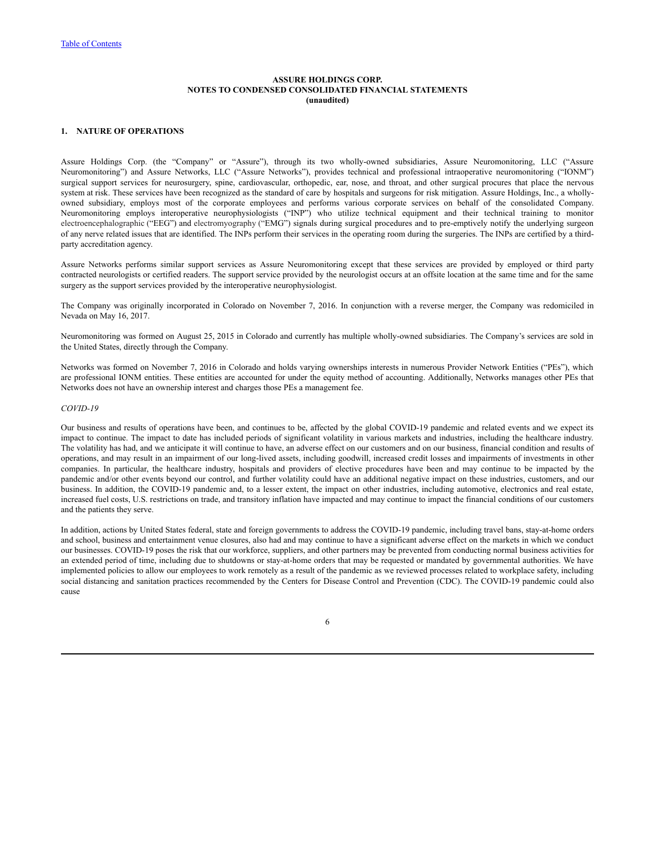## <span id="page-6-0"></span>**1. NATURE OF OPERATIONS**

Assure Holdings Corp. (the "Company" or "Assure"), through its two wholly-owned subsidiaries, Assure Neuromonitoring, LLC ("Assure Neuromonitoring") and Assure Networks, LLC ("Assure Networks"), provides technical and professional intraoperative neuromonitoring ("IONM") surgical support services for neurosurgery, spine, cardiovascular, orthopedic, ear, nose, and throat, and other surgical procures that place the nervous system at risk. These services have been recognized as the standard of care by hospitals and surgeons for risk mitigation. Assure Holdings, Inc., a whollyowned subsidiary, employs most of the corporate employees and performs various corporate services on behalf of the consolidated Company. Neuromonitoring employs interoperative neurophysiologists ("INP") who utilize technical equipment and their technical training to monitor electroencephalographic ("EEG") and electromyography ("EMG") signals during surgical procedures and to pre-emptively notify the underlying surgeon of any nerve related issues that are identified. The INPs perform their services in the operating room during the surgeries. The INPs are certified by a thirdparty accreditation agency.

Assure Networks performs similar support services as Assure Neuromonitoring except that these services are provided by employed or third party contracted neurologists or certified readers. The support service provided by the neurologist occurs at an offsite location at the same time and for the same surgery as the support services provided by the interoperative neurophysiologist.

The Company was originally incorporated in Colorado on November 7, 2016. In conjunction with a reverse merger, the Company was redomiciled in Nevada on May 16, 2017.

Neuromonitoring was formed on August 25, 2015 in Colorado and currently has multiple wholly-owned subsidiaries. The Company's services are sold in the United States, directly through the Company.

Networks was formed on November 7, 2016 in Colorado and holds varying ownerships interests in numerous Provider Network Entities ("PEs"), which are professional IONM entities. These entities are accounted for under the equity method of accounting. Additionally, Networks manages other PEs that Networks does not have an ownership interest and charges those PEs a management fee.

### *COVID-19*

Our business and results of operations have been, and continues to be, affected by the global COVID-19 pandemic and related events and we expect its impact to continue. The impact to date has included periods of significant volatility in various markets and industries, including the healthcare industry. The volatility has had, and we anticipate it will continue to have, an adverse effect on our customers and on our business, financial condition and results of operations, and may result in an impairment of our long-lived assets, including goodwill, increased credit losses and impairments of investments in other companies. In particular, the healthcare industry, hospitals and providers of elective procedures have been and may continue to be impacted by the pandemic and/or other events beyond our control, and further volatility could have an additional negative impact on these industries, customers, and our business. In addition, the COVID-19 pandemic and, to a lesser extent, the impact on other industries, including automotive, electronics and real estate, increased fuel costs, U.S. restrictions on trade, and transitory inflation have impacted and may continue to impact the financial conditions of our customers and the patients they serve.

In addition, actions by United States federal, state and foreign governments to address the COVID-19 pandemic, including travel bans, stay-at-home orders and school, business and entertainment venue closures, also had and may continue to have a significant adverse effect on the markets in which we conduct our businesses. COVID-19 poses the risk that our workforce, suppliers, and other partners may be prevented from conducting normal business activities for an extended period of time, including due to shutdowns or stay-at-home orders that may be requested or mandated by governmental authorities. We have implemented policies to allow our employees to work remotely as a result of the pandemic as we reviewed processes related to workplace safety, including social distancing and sanitation practices recommended by the Centers for Disease Control and Prevention (CDC). The COVID-19 pandemic could also cause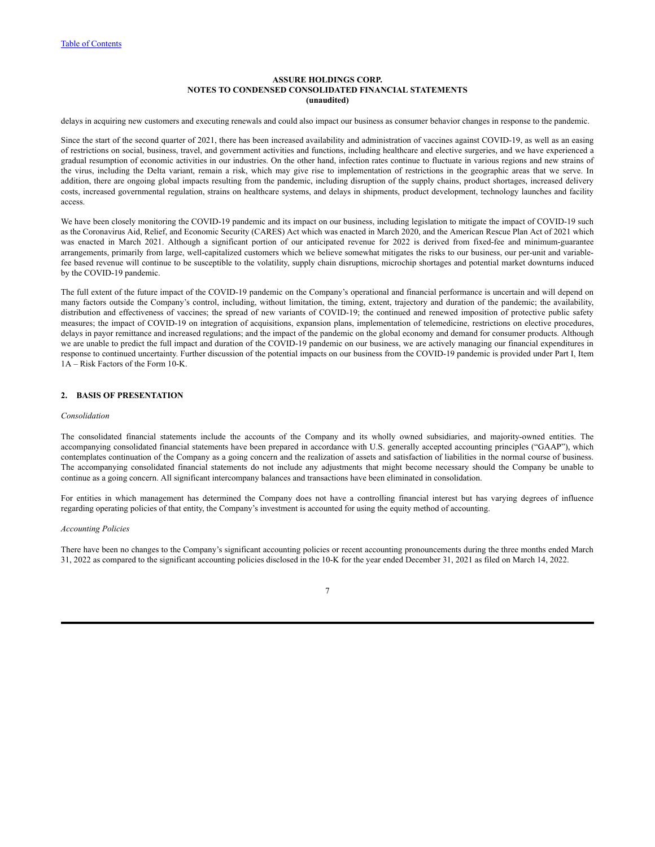delays in acquiring new customers and executing renewals and could also impact our business as consumer behavior changes in response to the pandemic.

Since the start of the second quarter of 2021, there has been increased availability and administration of vaccines against COVID-19, as well as an easing of restrictions on social, business, travel, and government activities and functions, including healthcare and elective surgeries, and we have experienced a gradual resumption of economic activities in our industries. On the other hand, infection rates continue to fluctuate in various regions and new strains of the virus, including the Delta variant, remain a risk, which may give rise to implementation of restrictions in the geographic areas that we serve. In addition, there are ongoing global impacts resulting from the pandemic, including disruption of the supply chains, product shortages, increased delivery costs, increased governmental regulation, strains on healthcare systems, and delays in shipments, product development, technology launches and facility access.

We have been closely monitoring the COVID-19 pandemic and its impact on our business, including legislation to mitigate the impact of COVID-19 such as the Coronavirus Aid, Relief, and Economic Security (CARES) Act which was enacted in March 2020, and the American Rescue Plan Act of 2021 which was enacted in March 2021. Although a significant portion of our anticipated revenue for 2022 is derived from fixed-fee and minimum-guarantee arrangements, primarily from large, well-capitalized customers which we believe somewhat mitigates the risks to our business, our per-unit and variablefee based revenue will continue to be susceptible to the volatility, supply chain disruptions, microchip shortages and potential market downturns induced by the COVID-19 pandemic.

The full extent of the future impact of the COVID-19 pandemic on the Company's operational and financial performance is uncertain and will depend on many factors outside the Company's control, including, without limitation, the timing, extent, trajectory and duration of the pandemic; the availability, distribution and effectiveness of vaccines; the spread of new variants of COVID-19; the continued and renewed imposition of protective public safety measures; the impact of COVID-19 on integration of acquisitions, expansion plans, implementation of telemedicine, restrictions on elective procedures, delays in payor remittance and increased regulations; and the impact of the pandemic on the global economy and demand for consumer products. Although we are unable to predict the full impact and duration of the COVID-19 pandemic on our business, we are actively managing our financial expenditures in response to continued uncertainty. Further discussion of the potential impacts on our business from the COVID-19 pandemic is provided under Part I, Item 1A – Risk Factors of the Form 10-K.

### **2. BASIS OF PRESENTATION**

### *Consolidation*

The consolidated financial statements include the accounts of the Company and its wholly owned subsidiaries, and majority-owned entities. The accompanying consolidated financial statements have been prepared in accordance with U.S. generally accepted accounting principles ("GAAP"), which contemplates continuation of the Company as a going concern and the realization of assets and satisfaction of liabilities in the normal course of business. The accompanying consolidated financial statements do not include any adjustments that might become necessary should the Company be unable to continue as a going concern. All significant intercompany balances and transactions have been eliminated in consolidation.

For entities in which management has determined the Company does not have a controlling financial interest but has varying degrees of influence regarding operating policies of that entity, the Company's investment is accounted for using the equity method of accounting.

### *Accounting Policies*

There have been no changes to the Company's significant accounting policies or recent accounting pronouncements during the three months ended March 31, 2022 as compared to the significant accounting policies disclosed in the 10-K for the year ended December 31, 2021 as filed on March 14, 2022.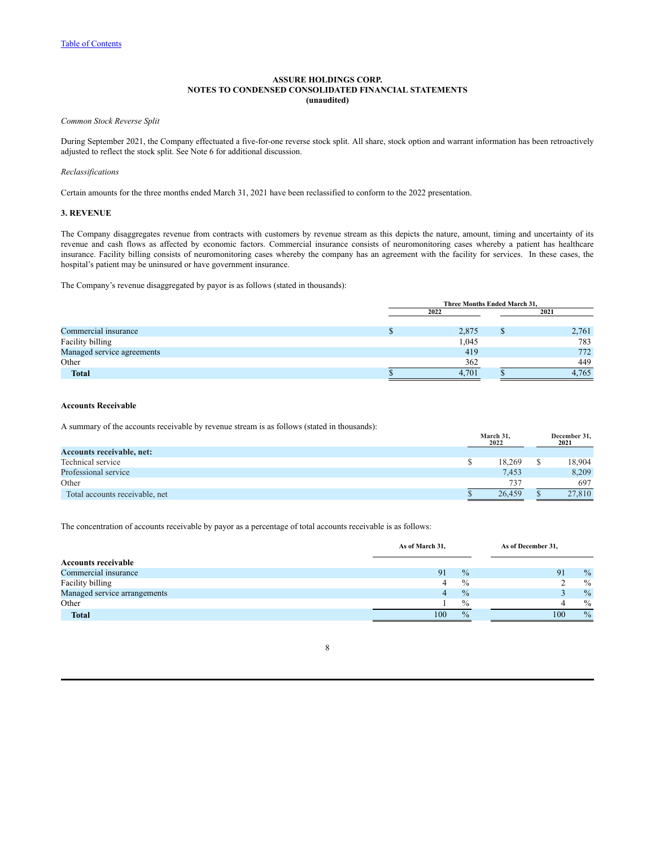*Common Stock Reverse Split*

During September 2021, the Company effectuated a five-for-one reverse stock split. All share, stock option and warrant information has been retroactively adjusted to reflect the stock split. See Note 6 for additional discussion.

### *Reclassifications*

Certain amounts for the three months ended March 31, 2021 have been reclassified to conform to the 2022 presentation.

## **3. REVENUE**

The Company disaggregates revenue from contracts with customers by revenue stream as this depicts the nature, amount, timing and uncertainty of its revenue and cash flows as affected by economic factors. Commercial insurance consists of neuromonitoring cases whereby a patient has healthcare insurance. Facility billing consists of neuromonitoring cases whereby the company has an agreement with the facility for services. In these cases, the hospital's patient may be uninsured or have government insurance.

The Company's revenue disaggregated by payor is as follows (stated in thousands):

|                            | Three Months Ended March 31, |       |   |       |  |
|----------------------------|------------------------------|-------|---|-------|--|
|                            | 2022                         |       |   | 2021  |  |
|                            |                              |       |   |       |  |
| Commercial insurance       |                              | 2,875 | D | 2,761 |  |
| Facility billing           |                              | 1,045 |   | 783   |  |
| Managed service agreements |                              | 419   |   | 772   |  |
| Other                      |                              | 362   |   | 449   |  |
| <b>Total</b>               |                              | 4.701 |   | 4.765 |  |

### **Accounts Receivable**

A summary of the accounts receivable by revenue stream is as follows (stated in thousands):

|                                  | March 31.<br>2022 | December 31,<br>2021 |
|----------------------------------|-------------------|----------------------|
| <b>Accounts receivable, net:</b> |                   |                      |
| Technical service                | 18.269            | 18,904               |
| Professional service             | 7.453             | 8.209                |
| Other                            | 737               | 697                  |
| Total accounts receivable, net   | 26.459            | 27,810               |

The concentration of accounts receivable by payor as a percentage of total accounts receivable is as follows:

|                              | As of March 31, |               | As of December 31, |               |  |
|------------------------------|-----------------|---------------|--------------------|---------------|--|
| <b>Accounts receivable</b>   |                 |               |                    |               |  |
| Commercial insurance         | 91              | $\frac{0}{0}$ | 91                 | $\%$          |  |
| Facility billing             |                 | $\frac{0}{0}$ |                    | $\frac{0}{0}$ |  |
| Managed service arrangements | 4               | $\frac{0}{0}$ |                    | $\%$          |  |
| Other                        |                 | $\frac{0}{0}$ |                    | $\frac{0}{0}$ |  |
| <b>Total</b>                 | 100             | $\frac{0}{0}$ | 100                | $\frac{0}{0}$ |  |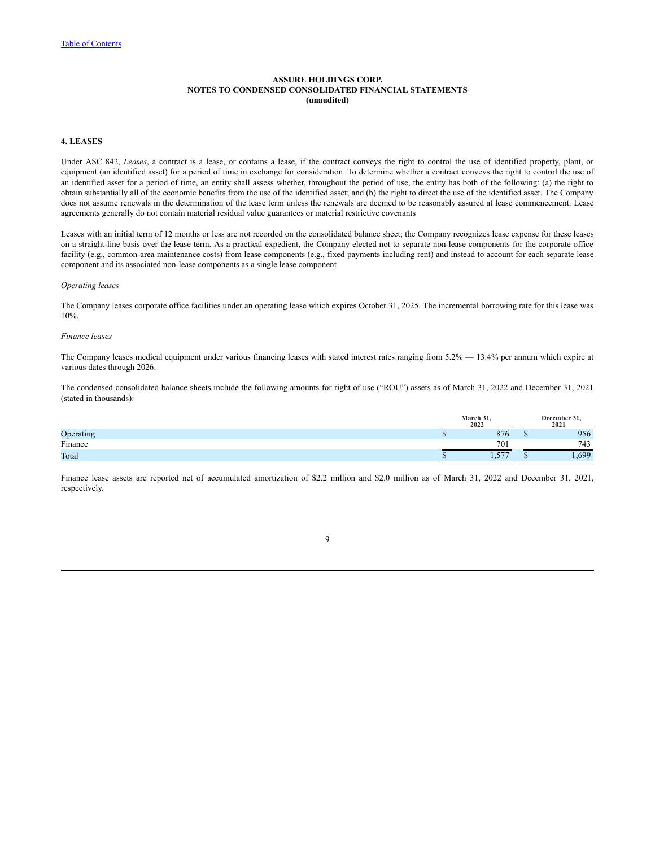## **4. LEASES**

Under ASC 842, *Leases*, a contract is a lease, or contains a lease, if the contract conveys the right to control the use of identified property, plant, or equipment (an identified asset) for a period of time in exchange for consideration. To determine whether a contract conveys the right to control the use of an identified asset for a period of time, an entity shall assess whether, throughout the period of use, the entity has both of the following: (a) the right to obtain substantially all of the economic benefits from the use of the identified asset; and (b) the right to direct the use of the identified asset. The Company does not assume renewals in the determination of the lease term unless the renewals are deemed to be reasonably assured at lease commencement. Lease agreements generally do not contain material residual value guarantees or material restrictive covenants

Leases with an initial term of 12 months or less are not recorded on the consolidated balance sheet; the Company recognizes lease expense for these leases on a straight-line basis over the lease term. As a practical expedient, the Company elected not to separate non-lease components for the corporate office facility (e.g., common-area maintenance costs) from lease components (e.g., fixed payments including rent) and instead to account for each separate lease component and its associated non-lease components as a single lease component

### *Operating leases*

The Company leases corporate office facilities under an operating lease which expires October 31, 2025. The incremental borrowing rate for this lease was 10%.

### *Finance leases*

The Company leases medical equipment under various financing leases with stated interest rates ranging from 5.2% — 13.4% per annum which expire at various dates through 2026.

The condensed consolidated balance sheets include the following amounts for right of use ("ROU") assets as of March 31, 2022 and December 31, 2021 (stated in thousands):

|           | March 31<br>2022 |                 | December.<br>2021 |
|-----------|------------------|-----------------|-------------------|
| Operating |                  | 876             | 956               |
| Finance   |                  | 70 <sub>1</sub> | 743               |
| Total     |                  | 5.77<br>.       | 1.690             |

Finance lease assets are reported net of accumulated amortization of \$2.2 million and \$2.0 million as of March 31, 2022 and December 31, 2021, respectively.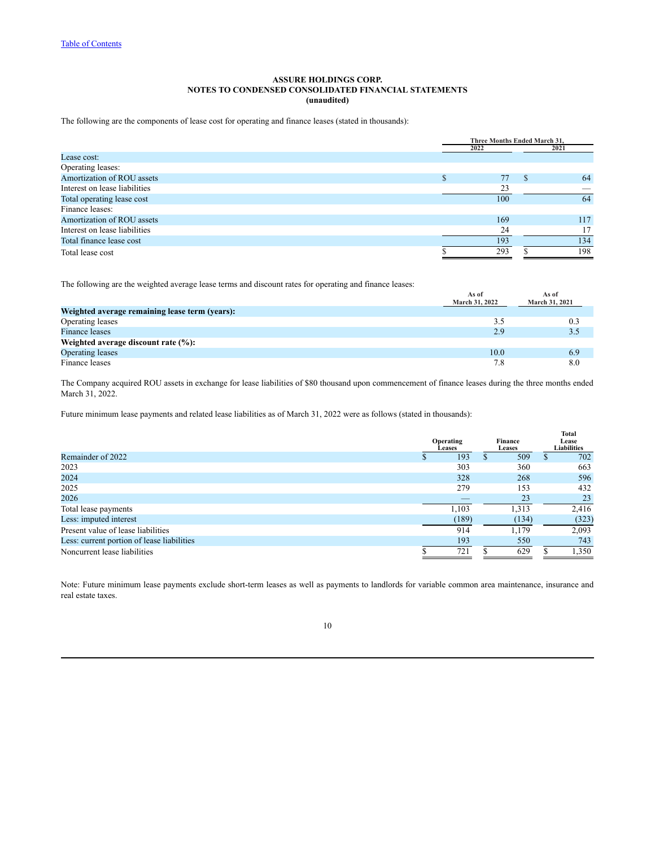The following are the components of lease cost for operating and finance leases (stated in thousands):

|                               | Three Months Ended March 31, |  |      |
|-------------------------------|------------------------------|--|------|
|                               | 2022                         |  | 2021 |
| Lease cost:                   |                              |  |      |
| Operating leases:             |                              |  |      |
| Amortization of ROU assets    | 77                           |  | 64   |
| Interest on lease liabilities | 23                           |  |      |
| Total operating lease cost    | 100                          |  | 64   |
| Finance leases:               |                              |  |      |
| Amortization of ROU assets    | 169                          |  | 117  |
| Interest on lease liabilities | 24                           |  |      |
| Total finance lease cost      | 193                          |  | 134  |
| Total lease cost              | 293                          |  | 198  |

The following are the weighted average lease terms and discount rates for operating and finance leases:

|                                                | As of<br>March 31, 2022 | As of<br>March 31, 2021 |
|------------------------------------------------|-------------------------|-------------------------|
| Weighted average remaining lease term (years): |                         |                         |
| Operating leases                               | 3.5                     | 0.3                     |
| <b>Finance leases</b>                          | 2.9                     | 3.5                     |
| Weighted average discount rate $(\%):$         |                         |                         |
| Operating leases                               | 10.0                    | 6.9                     |
| Finance leases                                 | 7.8                     | 8.0                     |

The Company acquired ROU assets in exchange for lease liabilities of \$80 thousand upon commencement of finance leases during the three months ended March 31, 2022.

Future minimum lease payments and related lease liabilities as of March 31, 2022 were as follows (stated in thousands):

|                                            | Operating<br><b>Leases</b> | Finance<br><b>Leases</b> | <b>Total</b><br>Lease<br><b>Liabilities</b> |
|--------------------------------------------|----------------------------|--------------------------|---------------------------------------------|
| Remainder of 2022                          | 193                        | 509                      | 702                                         |
| 2023                                       | 303                        | 360                      | 663                                         |
| 2024                                       | 328                        | 268                      | 596                                         |
| 2025                                       | 279                        | 153                      | 432                                         |
| 2026                                       |                            | 23                       | 23                                          |
| Total lease payments                       | 1.103                      | 1,313                    | 2,416                                       |
| Less: imputed interest                     | (189)                      | (134)                    | (323)                                       |
| Present value of lease liabilities         | 914                        | 1,179                    | 2,093                                       |
| Less: current portion of lease liabilities | 193                        | 550                      | 743                                         |
| Noncurrent lease liabilities               | 721                        | 629                      | 1,350                                       |

Note: Future minimum lease payments exclude short-term leases as well as payments to landlords for variable common area maintenance, insurance and real estate taxes.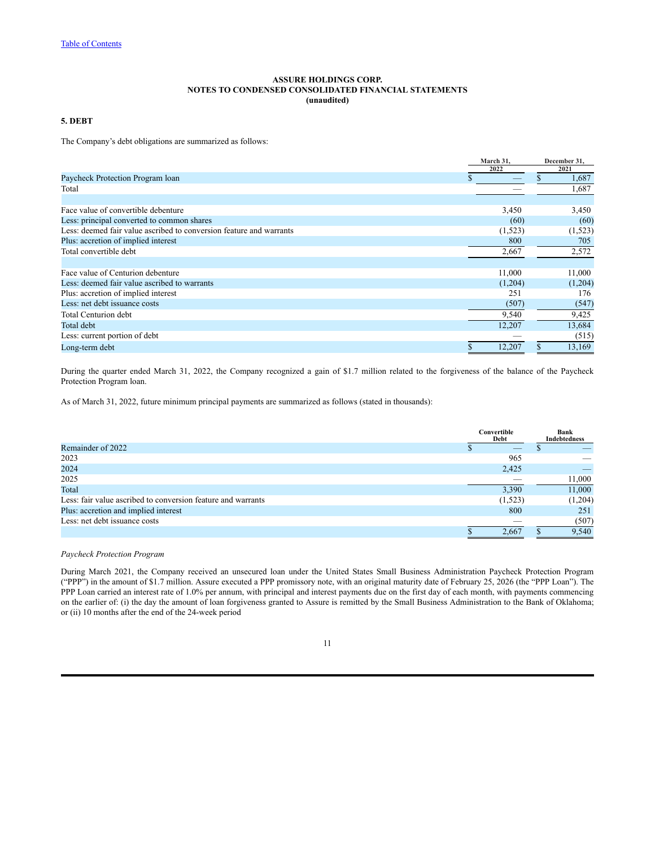## **5. DEBT**

The Company's debt obligations are summarized as follows:

|                                                                     | March 31, | December 31, |
|---------------------------------------------------------------------|-----------|--------------|
|                                                                     | 2022      | 2021         |
| Paycheck Protection Program loan                                    |           | 1,687        |
| Total                                                               |           | 1,687        |
|                                                                     |           |              |
| Face value of convertible debenture                                 | 3,450     | 3,450        |
| Less: principal converted to common shares                          | (60)      | (60)         |
| Less: deemed fair value ascribed to conversion feature and warrants | (1,523)   | (1,523)      |
| Plus: accretion of implied interest                                 | 800       | 705          |
| Total convertible debt                                              | 2,667     | 2,572        |
|                                                                     |           |              |
| Face value of Centurion debenture                                   | 11,000    | 11,000       |
| Less: deemed fair value ascribed to warrants                        | (1,204)   | (1,204)      |
| Plus: accretion of implied interest                                 | 251       | 176          |
| Less: net debt issuance costs                                       | (507)     | (547)        |
| <b>Total Centurion debt</b>                                         | 9,540     | 9,425        |
| Total debt                                                          | 12,207    | 13,684       |
| Less: current portion of debt                                       |           | (515)        |
| Long-term debt                                                      | 12,207    | 13,169       |

During the quarter ended March 31, 2022, the Company recognized a gain of \$1.7 million related to the forgiveness of the balance of the Paycheck Protection Program loan.

As of March 31, 2022, future minimum principal payments are summarized as follows (stated in thousands):

|                                                              |  | Convertible<br>Debt |  |         |  |  |  |  |  | Bank<br><b>Indebtedness</b> |
|--------------------------------------------------------------|--|---------------------|--|---------|--|--|--|--|--|-----------------------------|
| Remainder of 2022                                            |  |                     |  |         |  |  |  |  |  |                             |
| 2023                                                         |  | 965                 |  |         |  |  |  |  |  |                             |
| 2024                                                         |  | 2,425               |  |         |  |  |  |  |  |                             |
| 2025                                                         |  |                     |  | 11,000  |  |  |  |  |  |                             |
| Total                                                        |  | 3,390               |  | 11,000  |  |  |  |  |  |                             |
| Less: fair value ascribed to conversion feature and warrants |  | (1,523)             |  | (1,204) |  |  |  |  |  |                             |
| Plus: accretion and implied interest                         |  | 800                 |  | 251     |  |  |  |  |  |                             |
| Less: net debt issuance costs                                |  |                     |  | (507)   |  |  |  |  |  |                             |
|                                                              |  | 2.667               |  | 9.540   |  |  |  |  |  |                             |

## *Paycheck Protection Program*

During March 2021, the Company received an unsecured loan under the United States Small Business Administration Paycheck Protection Program ("PPP") in the amount of \$1.7 million. Assure executed a PPP promissory note, with an original maturity date of February 25, 2026 (the "PPP Loan"). The PPP Loan carried an interest rate of 1.0% per annum, with principal and interest payments due on the first day of each month, with payments commencing on the earlier of: (i) the day the amount of loan forgiveness granted to Assure is remitted by the Small Business Administration to the Bank of Oklahoma; or (ii) 10 months after the end of the 24-week period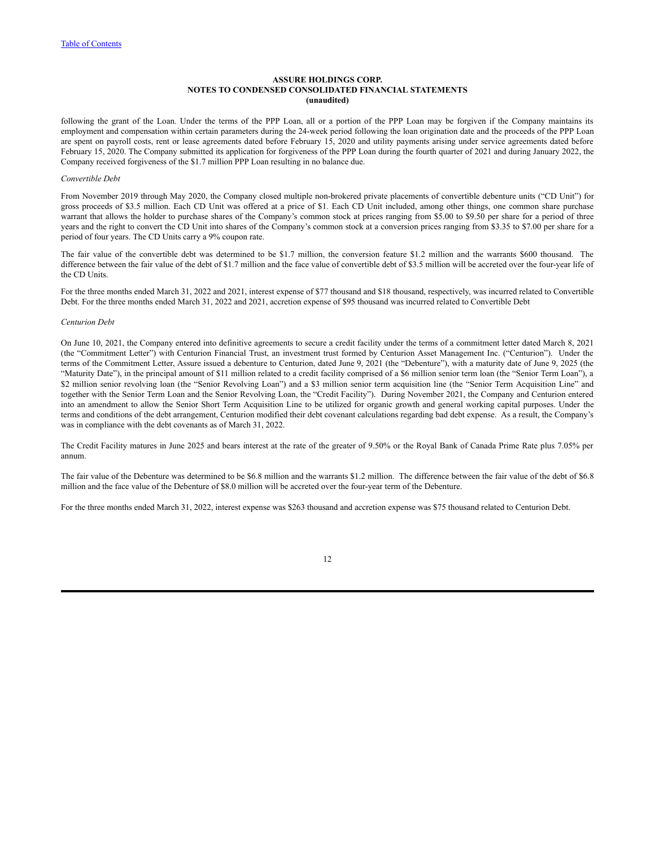following the grant of the Loan. Under the terms of the PPP Loan, all or a portion of the PPP Loan may be forgiven if the Company maintains its employment and compensation within certain parameters during the 24-week period following the loan origination date and the proceeds of the PPP Loan are spent on payroll costs, rent or lease agreements dated before February 15, 2020 and utility payments arising under service agreements dated before February 15, 2020. The Company submitted its application for forgiveness of the PPP Loan during the fourth quarter of 2021 and during January 2022, the Company received forgiveness of the \$1.7 million PPP Loan resulting in no balance due.

### *Convertible Debt*

From November 2019 through May 2020, the Company closed multiple non-brokered private placements of convertible debenture units ("CD Unit") for gross proceeds of \$3.5 million. Each CD Unit was offered at a price of \$1. Each CD Unit included, among other things, one common share purchase warrant that allows the holder to purchase shares of the Company's common stock at prices ranging from \$5.00 to \$9.50 per share for a period of three years and the right to convert the CD Unit into shares of the Company's common stock at a conversion prices ranging from \$3.35 to \$7.00 per share for a period of four years. The CD Units carry a 9% coupon rate.

The fair value of the convertible debt was determined to be \$1.7 million, the conversion feature \$1.2 million and the warrants \$600 thousand. The difference between the fair value of the debt of \$1.7 million and the face value of convertible debt of \$3.5 million will be accreted over the four-year life of the CD Units.

For the three months ended March 31, 2022 and 2021, interest expense of \$77 thousand and \$18 thousand, respectively, was incurred related to Convertible Debt. For the three months ended March 31, 2022 and 2021, accretion expense of \$95 thousand was incurred related to Convertible Debt

### *Centurion Debt*

On June 10, 2021, the Company entered into definitive agreements to secure a credit facility under the terms of a commitment letter dated March 8, 2021 (the "Commitment Letter") with Centurion Financial Trust, an investment trust formed by Centurion Asset Management Inc. ("Centurion"). Under the terms of the Commitment Letter, Assure issued a debenture to Centurion, dated June 9, 2021 (the "Debenture"), with a maturity date of June 9, 2025 (the "Maturity Date"), in the principal amount of \$11 million related to a credit facility comprised of a \$6 million senior term loan (the "Senior Term Loan"), a \$2 million senior revolving loan (the "Senior Revolving Loan") and a \$3 million senior term acquisition line (the "Senior Term Acquisition Line" and together with the Senior Term Loan and the Senior Revolving Loan, the "Credit Facility"). During November 2021, the Company and Centurion entered into an amendment to allow the Senior Short Term Acquisition Line to be utilized for organic growth and general working capital purposes. Under the terms and conditions of the debt arrangement, Centurion modified their debt covenant calculations regarding bad debt expense. As a result, the Company's was in compliance with the debt covenants as of March 31, 2022.

The Credit Facility matures in June 2025 and bears interest at the rate of the greater of 9.50% or the Royal Bank of Canada Prime Rate plus 7.05% per annum.

The fair value of the Debenture was determined to be \$6.8 million and the warrants \$1.2 million. The difference between the fair value of the debt of \$6.8 million and the face value of the Debenture of \$8.0 million will be accreted over the four-year term of the Debenture.

For the three months ended March 31, 2022, interest expense was \$263 thousand and accretion expense was \$75 thousand related to Centurion Debt.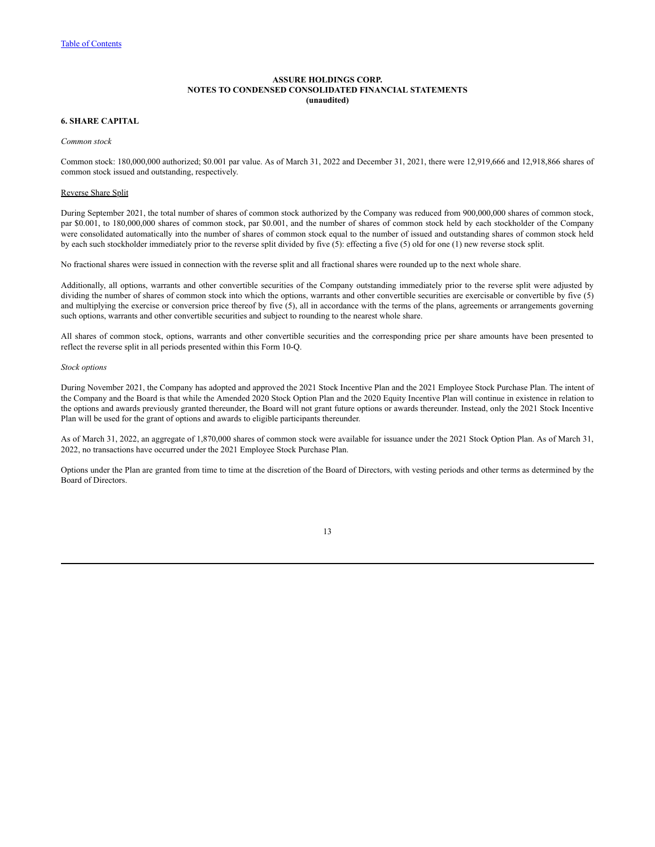### **6. SHARE CAPITAL**

#### *Common stock*

Common stock: 180,000,000 authorized; \$0.001 par value. As of March 31, 2022 and December 31, 2021, there were 12,919,666 and 12,918,866 shares of common stock issued and outstanding, respectively.

### Reverse Share Split

During September 2021, the total number of shares of common stock authorized by the Company was reduced from 900,000,000 shares of common stock, par \$0.001, to 180,000,000 shares of common stock, par \$0.001, and the number of shares of common stock held by each stockholder of the Company were consolidated automatically into the number of shares of common stock equal to the number of issued and outstanding shares of common stock held by each such stockholder immediately prior to the reverse split divided by five (5): effecting a five (5) old for one (1) new reverse stock split.

No fractional shares were issued in connection with the reverse split and all fractional shares were rounded up to the next whole share.

Additionally, all options, warrants and other convertible securities of the Company outstanding immediately prior to the reverse split were adjusted by dividing the number of shares of common stock into which the options, warrants and other convertible securities are exercisable or convertible by five (5) and multiplying the exercise or conversion price thereof by five (5), all in accordance with the terms of the plans, agreements or arrangements governing such options, warrants and other convertible securities and subject to rounding to the nearest whole share.

All shares of common stock, options, warrants and other convertible securities and the corresponding price per share amounts have been presented to reflect the reverse split in all periods presented within this Form 10-Q.

#### *Stock options*

During November 2021, the Company has adopted and approved the 2021 Stock Incentive Plan and the 2021 Employee Stock Purchase Plan. The intent of the Company and the Board is that while the Amended 2020 Stock Option Plan and the 2020 Equity Incentive Plan will continue in existence in relation to the options and awards previously granted thereunder, the Board will not grant future options or awards thereunder. Instead, only the 2021 Stock Incentive Plan will be used for the grant of options and awards to eligible participants thereunder.

As of March 31, 2022, an aggregate of 1,870,000 shares of common stock were available for issuance under the 2021 Stock Option Plan. As of March 31, 2022, no transactions have occurred under the 2021 Employee Stock Purchase Plan.

Options under the Plan are granted from time to time at the discretion of the Board of Directors, with vesting periods and other terms as determined by the Board of Directors.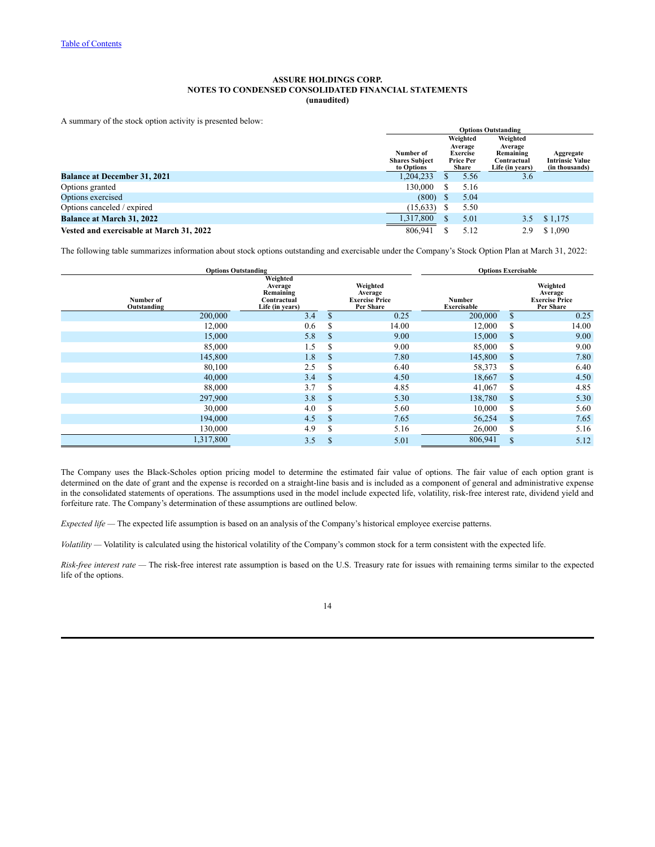A summary of the stock option activity is presented below:

|                                          | <b>Options Outstanding</b>                                                                                  |  |                                |                                          |           |  |  |  |
|------------------------------------------|-------------------------------------------------------------------------------------------------------------|--|--------------------------------|------------------------------------------|-----------|--|--|--|
|                                          |                                                                                                             |  | Weighted                       | Weighted                                 |           |  |  |  |
|                                          | Average<br>Number of<br><b>Exercise</b><br><b>Shares Subject</b><br><b>Price Per</b><br>to Options<br>Share |  |                                | Average<br>Remaining                     | Aggregate |  |  |  |
|                                          |                                                                                                             |  | Contractual<br>Life (in years) | <b>Intrinsic Value</b><br>(in thousands) |           |  |  |  |
| <b>Balance at December 31, 2021</b>      | 1,204,233                                                                                                   |  | 5.56                           | 3.6                                      |           |  |  |  |
| Options granted                          | 130.000                                                                                                     |  | 5.16                           |                                          |           |  |  |  |
| Options exercised                        | (800)                                                                                                       |  | 5.04                           |                                          |           |  |  |  |
| Options canceled / expired               | (15, 633)                                                                                                   |  | 5.50                           |                                          |           |  |  |  |
| <b>Balance at March 31, 2022</b>         | 1,317,800                                                                                                   |  | 5.01                           | 3.5                                      | \$1,175   |  |  |  |
| Vested and exercisable at March 31, 2022 | 806.941                                                                                                     |  | 5.12                           | 2.9                                      | \$1.090   |  |  |  |

The following table summarizes information about stock options outstanding and exercisable under the Company's Stock Option Plan at March 31, 2022:

|                          | <b>Options Outstanding</b>                                         | <b>Options Exercisable</b> |                                                           |                              |             |                                                           |
|--------------------------|--------------------------------------------------------------------|----------------------------|-----------------------------------------------------------|------------------------------|-------------|-----------------------------------------------------------|
| Number of<br>Outstanding | Weighted<br>Average<br>Remaining<br>Contractual<br>Life (in years) |                            | Weighted<br>Average<br><b>Exercise Price</b><br>Per Share | Number<br><b>Exercisable</b> |             | Weighted<br>Average<br><b>Exercise Price</b><br>Per Share |
| 200,000                  | 3.4                                                                | \$                         | 0.25                                                      | 200,000                      | \$          | 0.25                                                      |
| 12,000                   | 0.6                                                                | \$                         | 14.00                                                     | 12,000                       | \$          | 14.00                                                     |
| 15,000                   | 5.8                                                                | \$                         | 9.00                                                      | 15,000                       | $\mathbf S$ | 9.00                                                      |
| 85,000                   | 1.5                                                                | S                          | 9.00                                                      | 85,000                       | \$          | 9.00                                                      |
| 145,800                  | 1.8                                                                | \$                         | 7.80                                                      | 145,800                      | \$          | 7.80                                                      |
| 80,100                   | 2.5                                                                | \$                         | 6.40                                                      | 58,373                       | \$          | 6.40                                                      |
| 40,000                   | 3.4                                                                | \$                         | 4.50                                                      | 18,667                       | $\mathbf S$ | 4.50                                                      |
| 88,000                   | 3.7                                                                | \$                         | 4.85                                                      | 41,067                       | S           | 4.85                                                      |
| 297,900                  | 3.8                                                                | \$                         | 5.30                                                      | 138,780                      | $\mathbf S$ | 5.30                                                      |
| 30,000                   | 4.0                                                                | S                          | 5.60                                                      | 10,000                       | S           | 5.60                                                      |
| 194,000                  | 4.5                                                                | \$                         | 7.65                                                      | 56,254                       | \$          | 7.65                                                      |
| 130,000                  | 4.9                                                                | \$                         | 5.16                                                      | 26,000                       | \$          | 5.16                                                      |
| 1,317,800                | 3.5                                                                | \$                         | 5.01                                                      | 806,941                      | \$          | 5.12                                                      |

The Company uses the Black-Scholes option pricing model to determine the estimated fair value of options. The fair value of each option grant is determined on the date of grant and the expense is recorded on a straight-line basis and is included as a component of general and administrative expense in the consolidated statements of operations. The assumptions used in the model include expected life, volatility, risk-free interest rate, dividend yield and forfeiture rate. The Company's determination of these assumptions are outlined below.

*Expected life —* The expected life assumption is based on an analysis of the Company's historical employee exercise patterns.

*Volatility —* Volatility is calculated using the historical volatility of the Company's common stock for a term consistent with the expected life.

*Risk-free interest rate —* The risk-free interest rate assumption is based on the U.S. Treasury rate for issues with remaining terms similar to the expected life of the options.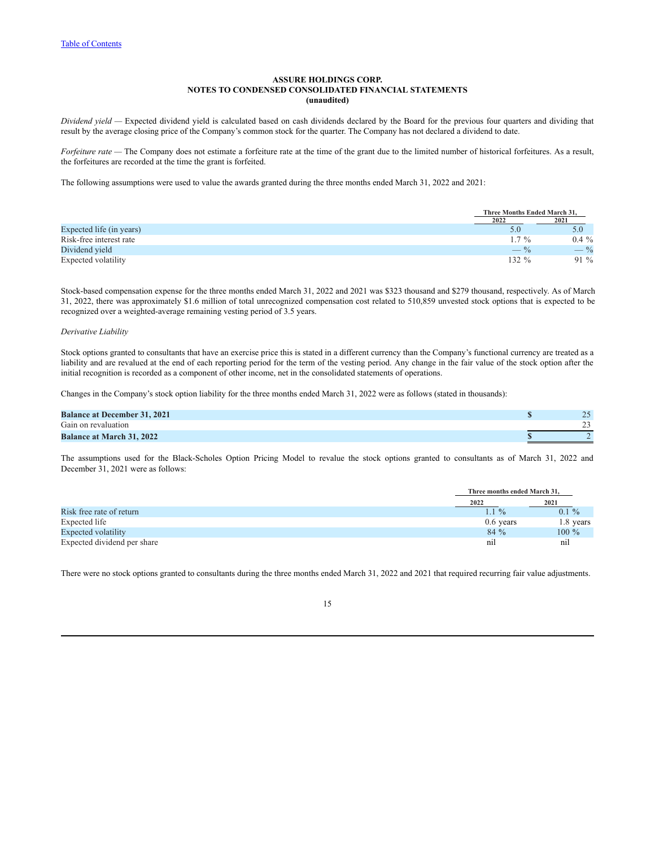*Dividend yield —* Expected dividend yield is calculated based on cash dividends declared by the Board for the previous four quarters and dividing that result by the average closing price of the Company's common stock for the quarter. The Company has not declared a dividend to date.

*Forfeiture rate —* The Company does not estimate a forfeiture rate at the time of the grant due to the limited number of historical forfeitures. As a result, the forfeitures are recorded at the time the grant is forfeited.

The following assumptions were used to value the awards granted during the three months ended March 31, 2022 and 2021:

|                          | Three Months Ended March 31. |                 |
|--------------------------|------------------------------|-----------------|
|                          | 2022                         | 2021            |
| Expected life (in years) |                              | 5.0             |
| Risk-free interest rate  | $.7\%$                       | $0.4\%$         |
| Dividend yield           | $-$ %                        | $- \frac{9}{6}$ |
| Expected volatility      | $132 \%$                     | $91\%$          |

Stock-based compensation expense for the three months ended March 31, 2022 and 2021 was \$323 thousand and \$279 thousand, respectively. As of March 31, 2022, there was approximately \$1.6 million of total unrecognized compensation cost related to 510,859 unvested stock options that is expected to be recognized over a weighted-average remaining vesting period of 3.5 years.

### *Derivative Liability*

Stock options granted to consultants that have an exercise price this is stated in a different currency than the Company's functional currency are treated as a liability and are revalued at the end of each reporting period for the term of the vesting period. Any change in the fair value of the stock option after the initial recognition is recorded as a component of other income, net in the consolidated statements of operations.

Changes in the Company's stock option liability for the three months ended March 31, 2022 were as follows (stated in thousands):

| <b>Balance at December 31, 2021</b> | 25<br>رے |
|-------------------------------------|----------|
| Gain on revaluation                 | --       |
| <b>Balance at March 31, 2022</b>    |          |

The assumptions used for the Black-Scholes Option Pricing Model to revalue the stock options granted to consultants as of March 31, 2022 and December 31, 2021 were as follows:

|                             | Three months ended March 31. |           |
|-----------------------------|------------------------------|-----------|
|                             | 2022                         | 2021      |
| Risk free rate of return    | $1.1\%$                      | $0.1 \%$  |
| Expected life               | $0.6$ years                  | 1.8 years |
| Expected volatility         | $84\%$                       | $100\%$   |
| Expected dividend per share | n1                           | nıl       |

There were no stock options granted to consultants during the three months ended March 31, 2022 and 2021 that required recurring fair value adjustments.

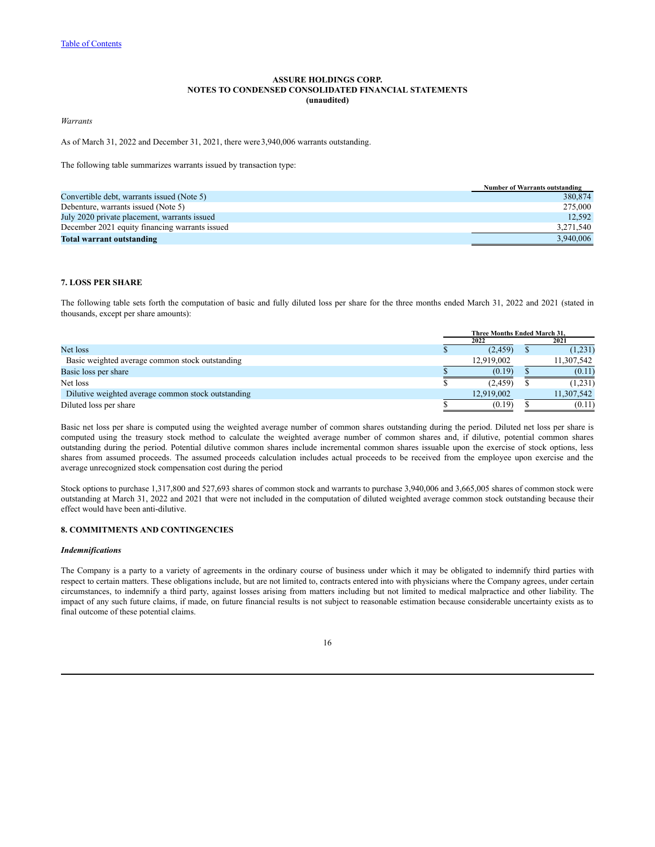*Warrants*

As of March 31, 2022 and December 31, 2021, there were3,940,006 warrants outstanding.

The following table summarizes warrants issued by transaction type:

|                                                | <b>Number of Warrants outstanding</b> |
|------------------------------------------------|---------------------------------------|
| Convertible debt, warrants issued (Note 5)     | 380.874                               |
| Debenture, warrants issued (Note 5)            | 275,000                               |
| July 2020 private placement, warrants issued   | 12.592                                |
| December 2021 equity financing warrants issued | 3.271.540                             |
| Total warrant outstanding                      | 3.940.006                             |

## **7. LOSS PER SHARE**

The following table sets forth the computation of basic and fully diluted loss per share for the three months ended March 31, 2022 and 2021 (stated in thousands, except per share amounts):

|                                                    | Three Months Ended March 31. |            |  |            |  |
|----------------------------------------------------|------------------------------|------------|--|------------|--|
|                                                    |                              | 2022       |  | 2021       |  |
| Net loss                                           |                              | (2, 459)   |  | (1,231)    |  |
| Basic weighted average common stock outstanding    |                              | 12.919.002 |  | 11,307,542 |  |
| Basic loss per share                               |                              | (0.19)     |  | (0.11)     |  |
| Net loss                                           |                              | (2.459)    |  | (1,231)    |  |
| Dilutive weighted average common stock outstanding |                              | 12,919,002 |  | 11,307,542 |  |
| Diluted loss per share                             |                              | (0.19)     |  | (0.11)     |  |

Basic net loss per share is computed using the weighted average number of common shares outstanding during the period. Diluted net loss per share is computed using the treasury stock method to calculate the weighted average number of common shares and, if dilutive, potential common shares outstanding during the period. Potential dilutive common shares include incremental common shares issuable upon the exercise of stock options, less shares from assumed proceeds. The assumed proceeds calculation includes actual proceeds to be received from the employee upon exercise and the average unrecognized stock compensation cost during the period

Stock options to purchase 1,317,800 and 527,693 shares of common stock and warrants to purchase 3,940,006 and 3,665,005 shares of common stock were outstanding at March 31, 2022 and 2021 that were not included in the computation of diluted weighted average common stock outstanding because their effect would have been anti-dilutive.

## **8. COMMITMENTS AND CONTINGENCIES**

#### *Indemnifications*

The Company is a party to a variety of agreements in the ordinary course of business under which it may be obligated to indemnify third parties with respect to certain matters. These obligations include, but are not limited to, contracts entered into with physicians where the Company agrees, under certain circumstances, to indemnify a third party, against losses arising from matters including but not limited to medical malpractice and other liability. The impact of any such future claims, if made, on future financial results is not subject to reasonable estimation because considerable uncertainty exists as to final outcome of these potential claims.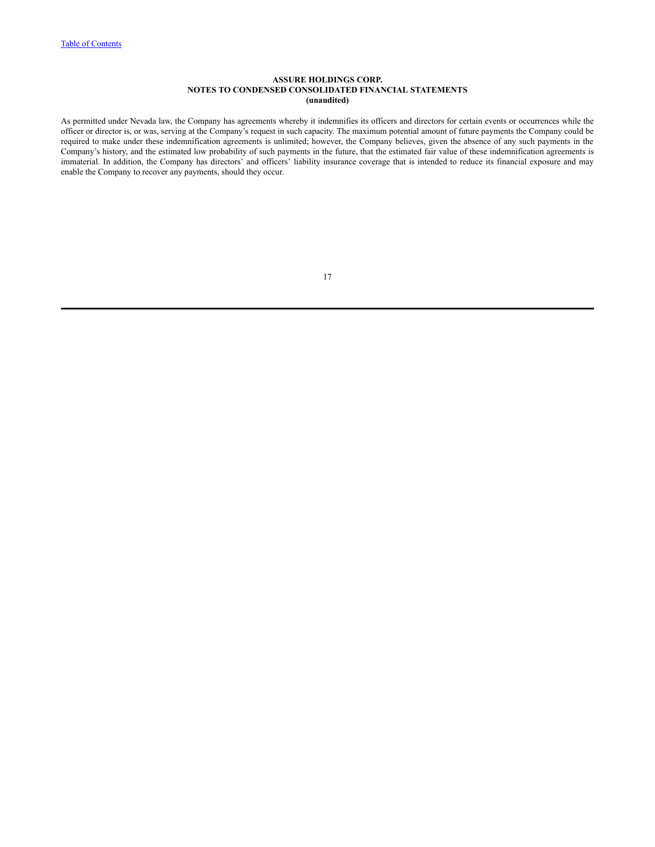As permitted under Nevada law, the Company has agreements whereby it indemnifies its officers and directors for certain events or occurrences while the officer or director is, or was, serving at the Company's request in such capacity. The maximum potential amount of future payments the Company could be required to make under these indemnification agreements is unlimited; however, the Company believes, given the absence of any such payments in the Company's history, and the estimated low probability of such payments in the future, that the estimated fair value of these indemnification agreements is immaterial. In addition, the Company has directors' and officers' liability insurance coverage that is intended to reduce its financial exposure and may enable the Company to recover any payments, should they occur.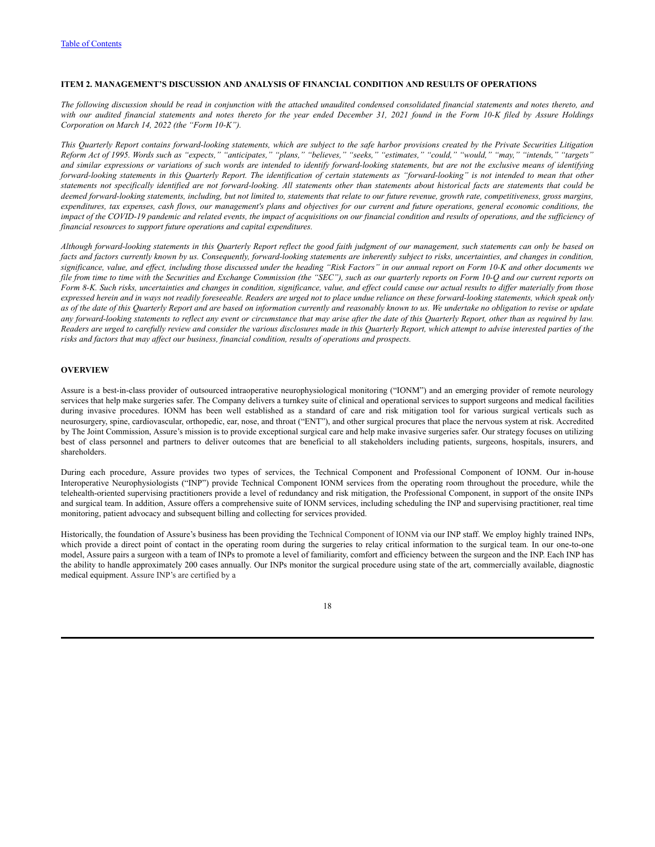### <span id="page-18-0"></span>**ITEM 2. MANAGEMENT'S DISCUSSION AND ANALYSIS OF FINANCIAL CONDITION AND RESULTS OF OPERATIONS**

The following discussion should be read in conjunction with the attached unaudited condensed consolidated financial statements and notes thereto, and with our audited financial statements and notes thereto for the year ended December 31, 2021 found in the Form 10-K filed by Assure Holdings *Corporation on March 14, 2022 (the "Form 10-K").*

This Quarterly Report contains forward-looking statements, which are subject to the safe harbor provisions created by the Private Securities Litigation Reform Act of 1995. Words such as "expects," "anticipates," "plans," "believes," "seeks," "estimates," "could," "would," "may," "intends," "targets" and similar expressions or variations of such words are intended to identify forward-looking statements, but are not the exclusive means of identifying forward-looking statements in this Quarterly Report. The identification of certain statements as "forward-looking" is not intended to mean that other statements not specifically identified are not forward-looking. All statements other than statements about historical facts are statements that could be deemed forward-looking statements, including, but not limited to, statements that relate to our future revenue, growth rate, competitiveness, gross margins, expenditures, tax expenses, cash flows, our management's plans and objectives for our current and future operations, general economic conditions, the impact of the COVID-19 pandemic and related events, the impact of acquisitions on our financial condition and results of operations, and the sufficiency of *financial resources to support future operations and capital expenditures.*

Although forward-looking statements in this Quarterly Report reflect the good faith judgment of our management, such statements can only be based on facts and factors currently known by us. Consequently, forward-looking statements are inherently subject to risks, uncertainties, and changes in condition, significance, value, and effect, including those discussed under the heading "Risk Factors" in our annual report on Form 10-K and other documents we file from time to time with the Securities and Exchange Commission (the "SEC"), such as our quarterly reports on Form 10-Q and our current reports on Form 8-K. Such risks, uncertainties and changes in condition, significance, value, and effect could cause our actual results to differ materially from those expressed herein and in ways not readily foreseeable. Readers are urged not to place undue reliance on these forward-looking statements, which speak only as of the date of this Quarterly Report and are based on information currently and reasonably known to us. We undertake no obligation to revise or update any forward-looking statements to reflect any event or circumstance that may arise after the date of this Quarterly Report, other than as required by law. Readers are urged to carefully review and consider the various disclosures made in this Quarterly Report, which attempt to advise interested parties of the *risks and factors that may af ect our business, financial condition, results of operations and prospects.*

### **OVERVIEW**

Assure is a best-in-class provider of outsourced intraoperative neurophysiological monitoring ("IONM") and an emerging provider of remote neurology services that help make surgeries safer. The Company delivers a turnkey suite of clinical and operational services to support surgeons and medical facilities during invasive procedures. IONM has been well established as a standard of care and risk mitigation tool for various surgical verticals such as neurosurgery, spine, cardiovascular, orthopedic, ear, nose, and throat ("ENT"), and other surgical procures that place the nervous system at risk. Accredited by The Joint Commission, Assure's mission is to provide exceptional surgical care and help make invasive surgeries safer. Our strategy focuses on utilizing best of class personnel and partners to deliver outcomes that are beneficial to all stakeholders including patients, surgeons, hospitals, insurers, and shareholders.

During each procedure, Assure provides two types of services, the Technical Component and Professional Component of IONM. Our in-house Interoperative Neurophysiologists ("INP") provide Technical Component IONM services from the operating room throughout the procedure, while the telehealth-oriented supervising practitioners provide a level of redundancy and risk mitigation, the Professional Component, in support of the onsite INPs and surgical team. In addition, Assure offers a comprehensive suite of IONM services, including scheduling the INP and supervising practitioner, real time monitoring, patient advocacy and subsequent billing and collecting for services provided.

Historically, the foundation of Assure's business has been providing the Technical Component of IONM via our INP staff. We employ highly trained INPs, which provide a direct point of contact in the operating room during the surgeries to relay critical information to the surgical team. In our one-to-one model, Assure pairs a surgeon with a team of INPs to promote a level of familiarity, comfort and efficiency between the surgeon and the INP. Each INP has the ability to handle approximately 200 cases annually. Our INPs monitor the surgical procedure using state of the art, commercially available, diagnostic medical equipment. Assure INP's are certified by a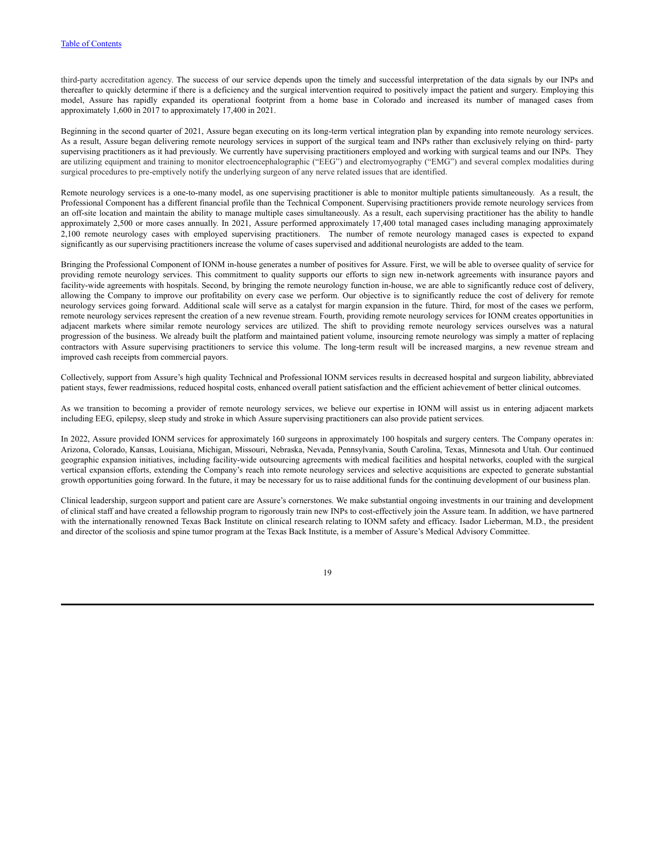third-party accreditation agency. The success of our service depends upon the timely and successful interpretation of the data signals by our INPs and thereafter to quickly determine if there is a deficiency and the surgical intervention required to positively impact the patient and surgery. Employing this model, Assure has rapidly expanded its operational footprint from a home base in Colorado and increased its number of managed cases from approximately 1,600 in 2017 to approximately 17,400 in 2021.

Beginning in the second quarter of 2021, Assure began executing on its long-term vertical integration plan by expanding into remote neurology services. As a result, Assure began delivering remote neurology services in support of the surgical team and INPs rather than exclusively relying on third- party supervising practitioners as it had previously. We currently have supervising practitioners employed and working with surgical teams and our INPs. They are utilizing equipment and training to monitor electroencephalographic ("EEG") and electromyography ("EMG") and several complex modalities during surgical procedures to pre-emptively notify the underlying surgeon of any nerve related issues that are identified.

Remote neurology services is a one-to-many model, as one supervising practitioner is able to monitor multiple patients simultaneously. As a result, the Professional Component has a different financial profile than the Technical Component. Supervising practitioners provide remote neurology services from an off-site location and maintain the ability to manage multiple cases simultaneously. As a result, each supervising practitioner has the ability to handle approximately 2,500 or more cases annually. In 2021, Assure performed approximately 17,400 total managed cases including managing approximately 2,100 remote neurology cases with employed supervising practitioners. The number of remote neurology managed cases is expected to expand significantly as our supervising practitioners increase the volume of cases supervised and additional neurologists are added to the team.

Bringing the Professional Component of IONM in-house generates a number of positives for Assure. First, we will be able to oversee quality of service for providing remote neurology services. This commitment to quality supports our efforts to sign new in-network agreements with insurance payors and facility-wide agreements with hospitals. Second, by bringing the remote neurology function in-house, we are able to significantly reduce cost of delivery, allowing the Company to improve our profitability on every case we perform. Our objective is to significantly reduce the cost of delivery for remote neurology services going forward. Additional scale will serve as a catalyst for margin expansion in the future. Third, for most of the cases we perform, remote neurology services represent the creation of a new revenue stream. Fourth, providing remote neurology services for IONM creates opportunities in adjacent markets where similar remote neurology services are utilized. The shift to providing remote neurology services ourselves was a natural progression of the business. We already built the platform and maintained patient volume, insourcing remote neurology was simply a matter of replacing contractors with Assure supervising practitioners to service this volume. The long-term result will be increased margins, a new revenue stream and improved cash receipts from commercial payors.

Collectively, support from Assure's high quality Technical and Professional IONM services results in decreased hospital and surgeon liability, abbreviated patient stays, fewer readmissions, reduced hospital costs, enhanced overall patient satisfaction and the efficient achievement of better clinical outcomes.

As we transition to becoming a provider of remote neurology services, we believe our expertise in IONM will assist us in entering adjacent markets including EEG, epilepsy, sleep study and stroke in which Assure supervising practitioners can also provide patient services.

In 2022, Assure provided IONM services for approximately 160 surgeons in approximately 100 hospitals and surgery centers. The Company operates in: Arizona, Colorado, Kansas, Louisiana, Michigan, Missouri, Nebraska, Nevada, Pennsylvania, South Carolina, Texas, Minnesota and Utah. Our continued geographic expansion initiatives, including facility-wide outsourcing agreements with medical facilities and hospital networks, coupled with the surgical vertical expansion efforts, extending the Company's reach into remote neurology services and selective acquisitions are expected to generate substantial growth opportunities going forward. In the future, it may be necessary for us to raise additional funds for the continuing development of our business plan.

Clinical leadership, surgeon support and patient care are Assure's cornerstones. We make substantial ongoing investments in our training and development of clinical staff and have created a fellowship program to rigorously train new INPs to cost-effectively join the Assure team. In addition, we have partnered with the internationally renowned Texas Back Institute on clinical research relating to IONM safety and efficacy. Isador Lieberman, M.D., the president and director of the scoliosis and spine tumor program at the Texas Back Institute, is a member of Assure's Medical Advisory Committee.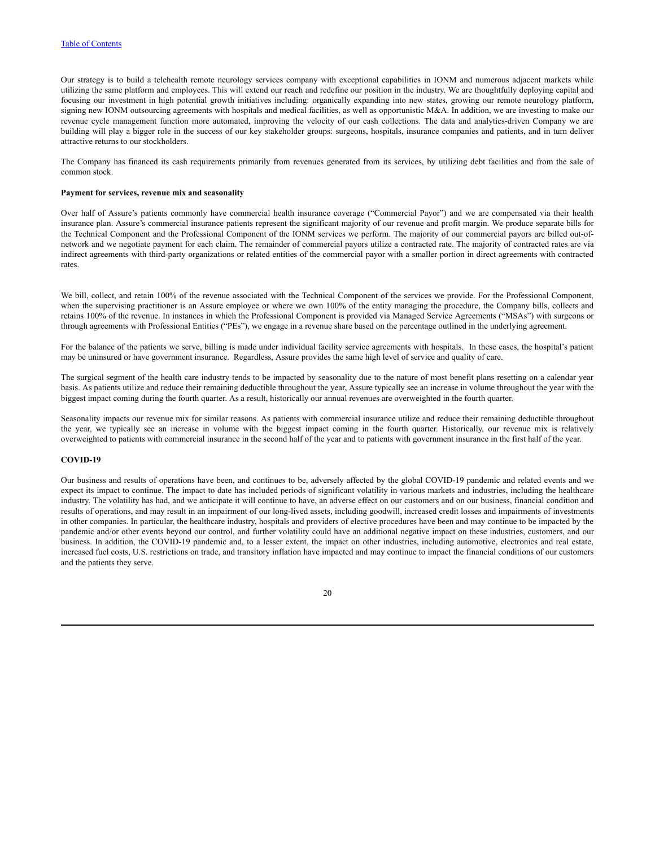Our strategy is to build a telehealth remote neurology services company with exceptional capabilities in IONM and numerous adjacent markets while utilizing the same platform and employees. This will extend our reach and redefine our position in the industry. We are thoughtfully deploying capital and focusing our investment in high potential growth initiatives including: organically expanding into new states, growing our remote neurology platform, signing new IONM outsourcing agreements with hospitals and medical facilities, as well as opportunistic  $M&A$ . In addition, we are investing to make our revenue cycle management function more automated, improving the velocity of our cash collections. The data and analytics-driven Company we are building will play a bigger role in the success of our key stakeholder groups: surgeons, hospitals, insurance companies and patients, and in turn deliver attractive returns to our stockholders.

The Company has financed its cash requirements primarily from revenues generated from its services, by utilizing debt facilities and from the sale of common stock.

### **Payment for services, revenue mix and seasonality**

Over half of Assure's patients commonly have commercial health insurance coverage ("Commercial Payor") and we are compensated via their health insurance plan. Assure's commercial insurance patients represent the significant majority of our revenue and profit margin. We produce separate bills for the Technical Component and the Professional Component of the IONM services we perform. The majority of our commercial payors are billed out-ofnetwork and we negotiate payment for each claim. The remainder of commercial payors utilize a contracted rate. The majority of contracted rates are via indirect agreements with third-party organizations or related entities of the commercial payor with a smaller portion in direct agreements with contracted rates.

We bill, collect, and retain 100% of the revenue associated with the Technical Component of the services we provide. For the Professional Component, when the supervising practitioner is an Assure employee or where we own 100% of the entity managing the procedure, the Company bills, collects and retains 100% of the revenue. In instances in which the Professional Component is provided via Managed Service Agreements ("MSAs") with surgeons or through agreements with Professional Entities ("PEs"), we engage in a revenue share based on the percentage outlined in the underlying agreement.

For the balance of the patients we serve, billing is made under individual facility service agreements with hospitals. In these cases, the hospital's patient may be uninsured or have government insurance. Regardless, Assure provides the same high level of service and quality of care.

The surgical segment of the health care industry tends to be impacted by seasonality due to the nature of most benefit plans resetting on a calendar year basis. As patients utilize and reduce their remaining deductible throughout the year, Assure typically see an increase in volume throughout the year with the biggest impact coming during the fourth quarter. As a result, historically our annual revenues are overweighted in the fourth quarter.

Seasonality impacts our revenue mix for similar reasons. As patients with commercial insurance utilize and reduce their remaining deductible throughout the year, we typically see an increase in volume with the biggest impact coming in the fourth quarter. Historically, our revenue mix is relatively overweighted to patients with commercial insurance in the second half of the year and to patients with government insurance in the first half of the year.

### **COVID-19**

Our business and results of operations have been, and continues to be, adversely affected by the global COVID-19 pandemic and related events and we expect its impact to continue. The impact to date has included periods of significant volatility in various markets and industries, including the healthcare industry. The volatility has had, and we anticipate it will continue to have, an adverse effect on our customers and on our business, financial condition and results of operations, and may result in an impairment of our long-lived assets, including goodwill, increased credit losses and impairments of investments in other companies. In particular, the healthcare industry, hospitals and providers of elective procedures have been and may continue to be impacted by the pandemic and/or other events beyond our control, and further volatility could have an additional negative impact on these industries, customers, and our business. In addition, the COVID-19 pandemic and, to a lesser extent, the impact on other industries, including automotive, electronics and real estate, increased fuel costs, U.S. restrictions on trade, and transitory inflation have impacted and may continue to impact the financial conditions of our customers and the patients they serve.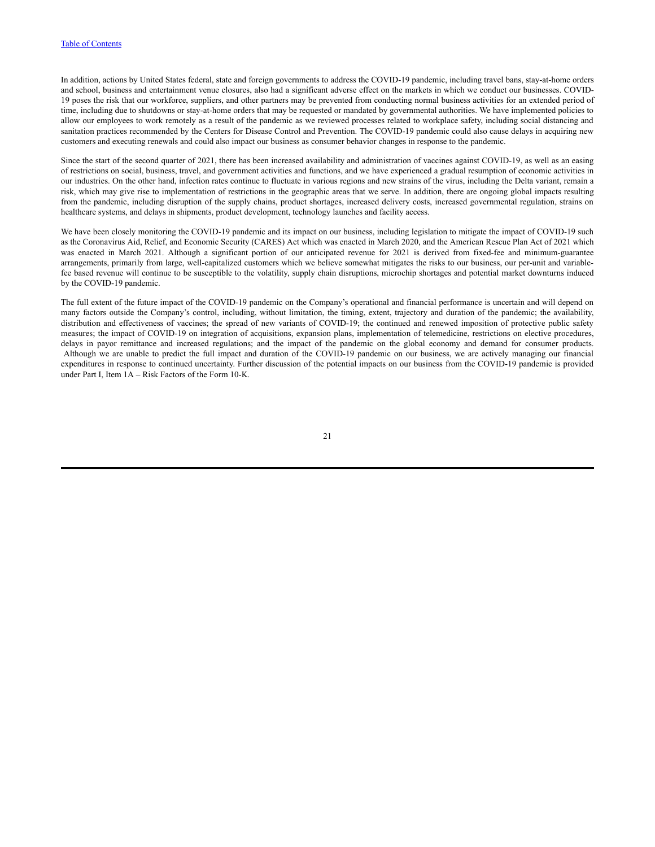In addition, actions by United States federal, state and foreign governments to address the COVID-19 pandemic, including travel bans, stay-at-home orders and school, business and entertainment venue closures, also had a significant adverse effect on the markets in which we conduct our businesses. COVID-19 poses the risk that our workforce, suppliers, and other partners may be prevented from conducting normal business activities for an extended period of time, including due to shutdowns or stay-at-home orders that may be requested or mandated by governmental authorities. We have implemented policies to allow our employees to work remotely as a result of the pandemic as we reviewed processes related to workplace safety, including social distancing and sanitation practices recommended by the Centers for Disease Control and Prevention. The COVID-19 pandemic could also cause delays in acquiring new customers and executing renewals and could also impact our business as consumer behavior changes in response to the pandemic.

Since the start of the second quarter of 2021, there has been increased availability and administration of vaccines against COVID-19, as well as an easing of restrictions on social, business, travel, and government activities and functions, and we have experienced a gradual resumption of economic activities in our industries. On the other hand, infection rates continue to fluctuate in various regions and new strains of the virus, including the Delta variant, remain a risk, which may give rise to implementation of restrictions in the geographic areas that we serve. In addition, there are ongoing global impacts resulting from the pandemic, including disruption of the supply chains, product shortages, increased delivery costs, increased governmental regulation, strains on healthcare systems, and delays in shipments, product development, technology launches and facility access.

We have been closely monitoring the COVID-19 pandemic and its impact on our business, including legislation to mitigate the impact of COVID-19 such as the Coronavirus Aid, Relief, and Economic Security (CARES) Act which was enacted in March 2020, and the American Rescue Plan Act of 2021 which was enacted in March 2021. Although a significant portion of our anticipated revenue for 2021 is derived from fixed-fee and minimum-guarantee arrangements, primarily from large, well-capitalized customers which we believe somewhat mitigates the risks to our business, our per-unit and variablefee based revenue will continue to be susceptible to the volatility, supply chain disruptions, microchip shortages and potential market downturns induced by the COVID-19 pandemic.

The full extent of the future impact of the COVID-19 pandemic on the Company's operational and financial performance is uncertain and will depend on many factors outside the Company's control, including, without limitation, the timing, extent, trajectory and duration of the pandemic; the availability, distribution and effectiveness of vaccines; the spread of new variants of COVID-19; the continued and renewed imposition of protective public safety measures; the impact of COVID-19 on integration of acquisitions, expansion plans, implementation of telemedicine, restrictions on elective procedures, delays in payor remittance and increased regulations; and the impact of the pandemic on the global economy and demand for consumer products. Although we are unable to predict the full impact and duration of the COVID-19 pandemic on our business, we are actively managing our financial expenditures in response to continued uncertainty. Further discussion of the potential impacts on our business from the COVID-19 pandemic is provided under Part I, Item 1A – Risk Factors of the Form 10-K.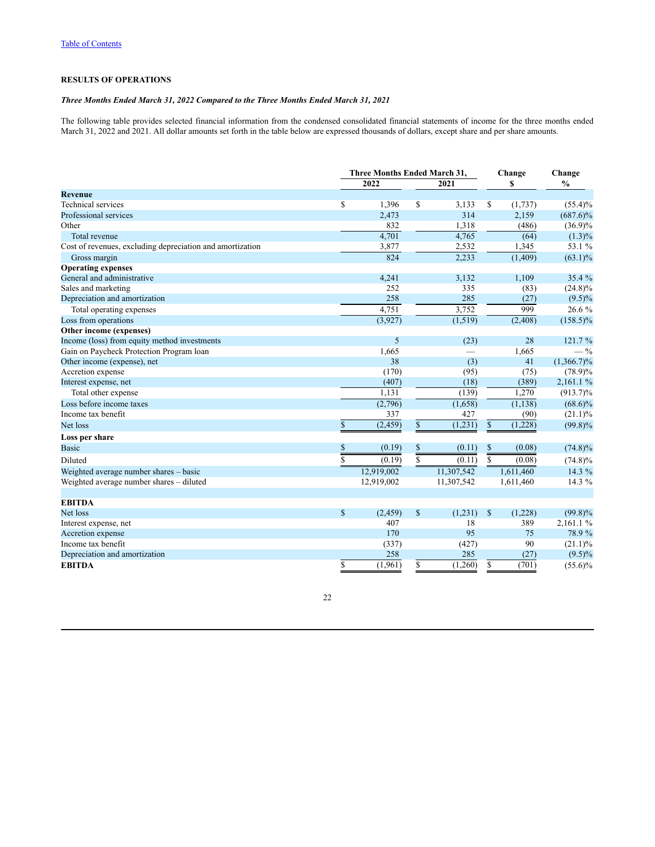## **RESULTS OF OPERATIONS**

# *Three Months Ended March 31, 2022 Compared to the Three Months Ended March 31, 2021*

The following table provides selected financial information from the condensed consolidated financial statements of income for the three months ended March 31, 2022 and 2021. All dollar amounts set forth in the table below are expressed thousands of dollars, except share and per share amounts.

|                                                           |              | <b>Three Months Ended March 31,</b> |               | Change        |           | Change        |
|-----------------------------------------------------------|--------------|-------------------------------------|---------------|---------------|-----------|---------------|
|                                                           |              | 2022                                | 2021          |               | S         | $\frac{0}{0}$ |
| <b>Revenue</b>                                            |              |                                     |               |               |           |               |
| <b>Technical</b> services                                 | \$           | 1,396                               | \$<br>3,133   | \$            | (1,737)   | $(55.4)\%$    |
| Professional services                                     |              | 2,473                               | 314           |               | 2,159     | $(687.6)\%$   |
| Other                                                     |              | 832                                 | 1,318         |               | (486)     | $(36.9)\%$    |
| Total revenue                                             |              | 4,701                               | 4,765         |               | (64)      | $(1.3)\%$     |
| Cost of revenues, excluding depreciation and amortization |              | 3,877                               | 2,532         |               | 1,345     | 53.1 %        |
| Gross margin                                              |              | 824                                 | 2,233         |               | (1,409)   | $(63.1)\%$    |
| <b>Operating expenses</b>                                 |              |                                     |               |               |           |               |
| General and administrative                                |              | 4,241                               | 3,132         |               | 1,109     | 35.4 %        |
| Sales and marketing                                       |              | 252                                 | 335           |               | (83)      | $(24.8)\%$    |
| Depreciation and amortization                             |              | 258                                 | 285           |               | (27)      | $(9.5)\%$     |
| Total operating expenses                                  |              | 4,751                               | 3,752         |               | 999       | 26.6 %        |
| Loss from operations                                      |              | (3,927)                             | (1, 519)      |               | (2,408)   | $(158.5)\%$   |
| Other income (expenses)                                   |              |                                     |               |               |           |               |
| Income (loss) from equity method investments              |              | 5                                   | (23)          |               | 28        | 121.7 %       |
| Gain on Paycheck Protection Program loan                  |              | 1,665                               |               |               | 1,665     | $-$ %         |
| Other income (expense), net                               |              | 38                                  | (3)           |               | 41        | $(1,366.7)\%$ |
| Accretion expense                                         |              | (170)                               | (95)          |               | (75)      | $(78.9)\%$    |
| Interest expense, net                                     |              | (407)                               | (18)          |               | (389)     | 2,161.1%      |
| Total other expense                                       |              | 1.131                               | (139)         |               | 1.270     | $(913.7)\%$   |
| Loss before income taxes                                  |              | (2,796)                             | (1,658)       |               | (1, 138)  | $(68.6)\%$    |
| Income tax benefit                                        |              | 337                                 | 427           |               | (90)      | $(21.1)\%$    |
| Net loss                                                  | $\mathbb{S}$ | (2, 459)                            | \$<br>(1,231) | $\mathbb{S}$  | (1,228)   | $(99.8)\%$    |
| Loss per share                                            |              |                                     |               |               |           |               |
| <b>Basic</b>                                              | \$           | (0.19)                              | \$<br>(0.11)  | \$            | (0.08)    | $(74.8)\%$    |
| Diluted                                                   | \$           | (0.19)                              | \$<br>(0.11)  | $\mathbf S$   | (0.08)    | $(74.8)\%$    |
| Weighted average number shares - basic                    |              | 12,919,002                          | 11,307,542    |               | 1,611,460 | 14.3 %        |
| Weighted average number shares - diluted                  |              | 12,919,002                          | 11,307,542    |               | 1,611,460 | 14.3 %        |
| <b>EBITDA</b>                                             |              |                                     |               |               |           |               |
| Net loss                                                  | \$           | (2, 459)                            | \$<br>(1,231) | $\mathcal{S}$ | (1,228)   | $(99.8)\%$    |
| Interest expense, net                                     |              | 407                                 | 18            |               | 389       | 2,161.1 %     |
| Accretion expense                                         |              | 170                                 | 95            |               | 75        | 78.9%         |
| Income tax benefit                                        |              | (337)                               | (427)         |               | 90        | $(21.1)\%$    |
| Depreciation and amortization                             |              | 258                                 | 285           |               | (27)      | $(9.5)\%$     |
| <b>EBITDA</b>                                             | \$           | (1, 961)                            | \$<br>(1,260) | \$            | (701)     | $(55.6)\%$    |
|                                                           |              |                                     |               |               |           |               |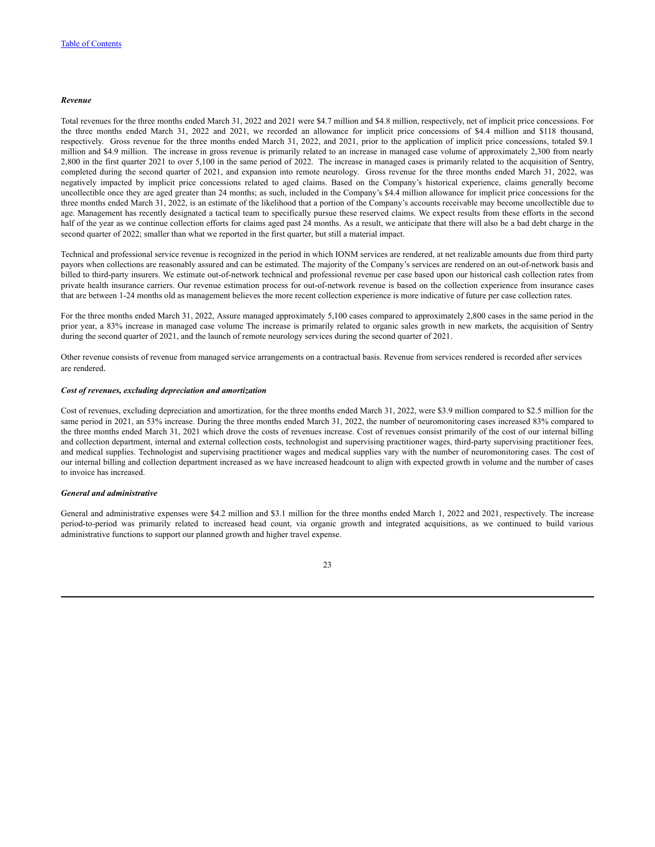#### *Revenue*

Total revenues for the three months ended March 31, 2022 and 2021 were \$4.7 million and \$4.8 million, respectively, net of implicit price concessions. For the three months ended March 31, 2022 and 2021, we recorded an allowance for implicit price concessions of \$4.4 million and \$118 thousand, respectively. Gross revenue for the three months ended March 31, 2022, and 2021, prior to the application of implicit price concessions, totaled \$9.1 million and \$4.9 million. The increase in gross revenue is primarily related to an increase in managed case volume of approximately 2,300 from nearly 2,800 in the first quarter 2021 to over 5,100 in the same period of 2022. The increase in managed cases is primarily related to the acquisition of Sentry, completed during the second quarter of 2021, and expansion into remote neurology. Gross revenue for the three months ended March 31, 2022, was negatively impacted by implicit price concessions related to aged claims. Based on the Company's historical experience, claims generally become uncollectible once they are aged greater than 24 months; as such, included in the Company's \$4.4 million allowance for implicit price concessions for the three months ended March 31, 2022, is an estimate of the likelihood that a portion of the Company's accounts receivable may become uncollectible due to age. Management has recently designated a tactical team to specifically pursue these reserved claims. We expect results from these efforts in the second half of the year as we continue collection efforts for claims aged past 24 months. As a result, we anticipate that there will also be a bad debt charge in the second quarter of 2022; smaller than what we reported in the first quarter, but still a material impact.

Technical and professional service revenue is recognized in the period in which IONM services are rendered, at net realizable amounts due from third party payors when collections are reasonably assured and can be estimated. The majority of the Company's services are rendered on an out-of-network basis and billed to third-party insurers. We estimate out-of-network technical and professional revenue per case based upon our historical cash collection rates from private health insurance carriers. Our revenue estimation process for out-of-network revenue is based on the collection experience from insurance cases that are between 1-24 months old as management believes the more recent collection experience is more indicative of future per case collection rates.

For the three months ended March 31, 2022, Assure managed approximately 5,100 cases compared to approximately 2,800 cases in the same period in the prior year, a 83% increase in managed case volume The increase is primarily related to organic sales growth in new markets, the acquisition of Sentry during the second quarter of 2021, and the launch of remote neurology services during the second quarter of 2021.

Other revenue consists of revenue from managed service arrangements on a contractual basis. Revenue from services rendered is recorded after services are rendered.

### *Cost of revenues, excluding depreciation and amortization*

Cost of revenues, excluding depreciation and amortization, for the three months ended March 31, 2022, were \$3.9 million compared to \$2.5 million for the same period in 2021, an 53% increase. During the three months ended March 31, 2022, the number of neuromonitoring cases increased 83% compared to the three months ended March 31, 2021 which drove the costs of revenues increase. Cost of revenues consist primarily of the cost of our internal billing and collection department, internal and external collection costs, technologist and supervising practitioner wages, third-party supervising practitioner fees, and medical supplies. Technologist and supervising practitioner wages and medical supplies vary with the number of neuromonitoring cases. The cost of our internal billing and collection department increased as we have increased headcount to align with expected growth in volume and the number of cases to invoice has increased.

### *General and administrative*

General and administrative expenses were \$4.2 million and \$3.1 million for the three months ended March 1, 2022 and 2021, respectively. The increase period-to-period was primarily related to increased head count, via organic growth and integrated acquisitions, as we continued to build various administrative functions to support our planned growth and higher travel expense.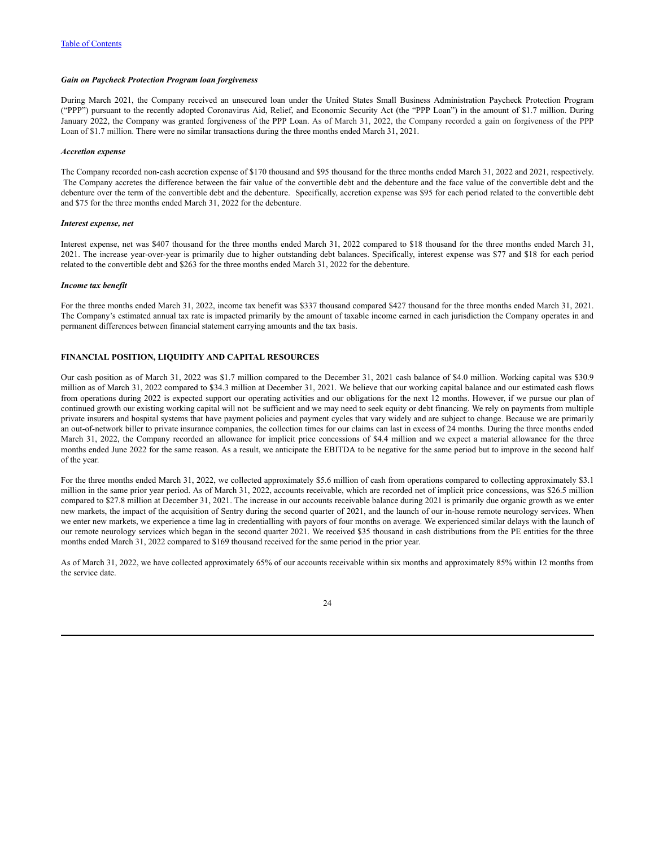#### *Gain on Paycheck Protection Program loan forgiveness*

During March 2021, the Company received an unsecured loan under the United States Small Business Administration Paycheck Protection Program ("PPP") pursuant to the recently adopted Coronavirus Aid, Relief, and Economic Security Act (the "PPP Loan") in the amount of \$1.7 million. During January 2022, the Company was granted forgiveness of the PPP Loan. As of March 31, 2022, the Company recorded a gain on forgiveness of the PPP Loan of \$1.7 million. There were no similar transactions during the three months ended March 31, 2021.

#### *Accretion expense*

The Company recorded non-cash accretion expense of \$170 thousand and \$95 thousand for the three months ended March 31, 2022 and 2021, respectively. The Company accretes the difference between the fair value of the convertible debt and the debenture and the face value of the convertible debt and the debenture over the term of the convertible debt and the debenture. Specifically, accretion expense was \$95 for each period related to the convertible debt and \$75 for the three months ended March 31, 2022 for the debenture.

#### *Interest expense, net*

Interest expense, net was \$407 thousand for the three months ended March 31, 2022 compared to \$18 thousand for the three months ended March 31, 2021. The increase year-over-year is primarily due to higher outstanding debt balances. Specifically, interest expense was \$77 and \$18 for each period related to the convertible debt and \$263 for the three months ended March 31, 2022 for the debenture.

#### *Income tax benefit*

For the three months ended March 31, 2022, income tax benefit was \$337 thousand compared \$427 thousand for the three months ended March 31, 2021. The Company's estimated annual tax rate is impacted primarily by the amount of taxable income earned in each jurisdiction the Company operates in and permanent differences between financial statement carrying amounts and the tax basis.

### **FINANCIAL POSITION, LIQUIDITY AND CAPITAL RESOURCES**

Our cash position as of March 31, 2022 was \$1.7 million compared to the December 31, 2021 cash balance of \$4.0 million. Working capital was \$30.9 million as of March 31, 2022 compared to \$34.3 million at December 31, 2021. We believe that our working capital balance and our estimated cash flows from operations during 2022 is expected support our operating activities and our obligations for the next 12 months. However, if we pursue our plan of continued growth our existing working capital will not be sufficient and we may need to seek equity or debt financing. We rely on payments from multiple private insurers and hospital systems that have payment policies and payment cycles that vary widely and are subject to change. Because we are primarily an out-of-network biller to private insurance companies, the collection times for our claims can last in excess of 24 months. During the three months ended March 31, 2022, the Company recorded an allowance for implicit price concessions of \$4.4 million and we expect a material allowance for the three months ended June 2022 for the same reason. As a result, we anticipate the EBITDA to be negative for the same period but to improve in the second half of the year.

For the three months ended March 31, 2022, we collected approximately \$5.6 million of cash from operations compared to collecting approximately \$3.1 million in the same prior year period. As of March 31, 2022, accounts receivable, which are recorded net of implicit price concessions, was \$26.5 million compared to \$27.8 million at December 31, 2021. The increase in our accounts receivable balance during 2021 is primarily due organic growth as we enter new markets, the impact of the acquisition of Sentry during the second quarter of 2021, and the launch of our in-house remote neurology services. When we enter new markets, we experience a time lag in credentialling with payors of four months on average. We experienced similar delays with the launch of our remote neurology services which began in the second quarter 2021. We received \$35 thousand in cash distributions from the PE entities for the three months ended March 31, 2022 compared to \$169 thousand received for the same period in the prior year.

As of March 31, 2022, we have collected approximately 65% of our accounts receivable within six months and approximately 85% within 12 months from the service date.

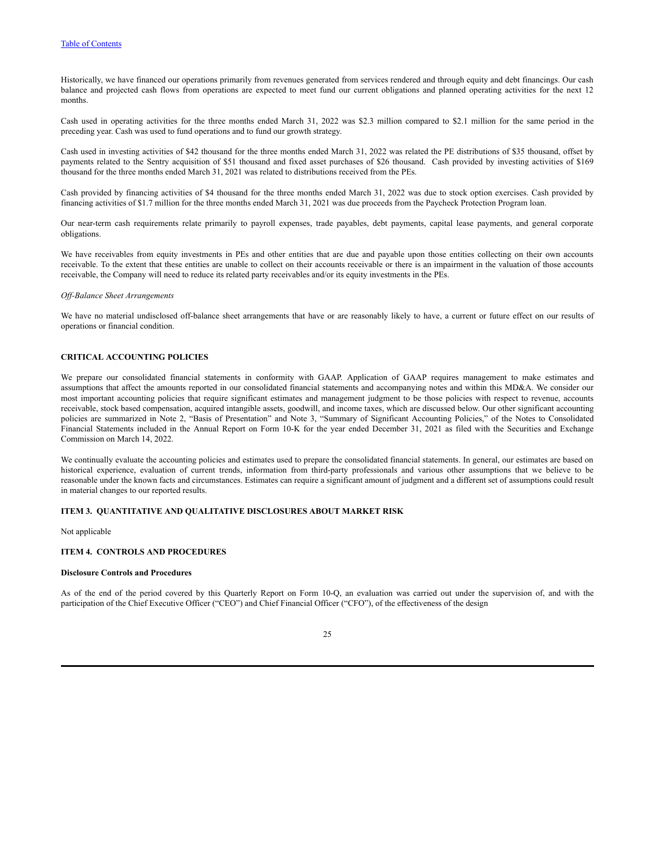Historically, we have financed our operations primarily from revenues generated from services rendered and through equity and debt financings. Our cash balance and projected cash flows from operations are expected to meet fund our current obligations and planned operating activities for the next 12 months.

Cash used in operating activities for the three months ended March 31, 2022 was \$2.3 million compared to \$2.1 million for the same period in the preceding year. Cash was used to fund operations and to fund our growth strategy.

Cash used in investing activities of \$42 thousand for the three months ended March 31, 2022 was related the PE distributions of \$35 thousand, offset by payments related to the Sentry acquisition of \$51 thousand and fixed asset purchases of \$26 thousand. Cash provided by investing activities of \$169 thousand for the three months ended March 31, 2021 was related to distributions received from the PEs.

Cash provided by financing activities of \$4 thousand for the three months ended March 31, 2022 was due to stock option exercises. Cash provided by financing activities of \$1.7 million for the three months ended March 31, 2021 was due proceeds from the Paycheck Protection Program loan.

Our near-term cash requirements relate primarily to payroll expenses, trade payables, debt payments, capital lease payments, and general corporate obligations.

We have receivables from equity investments in PEs and other entities that are due and payable upon those entities collecting on their own accounts receivable. To the extent that these entities are unable to collect on their accounts receivable or there is an impairment in the valuation of those accounts receivable, the Company will need to reduce its related party receivables and/or its equity investments in the PEs.

#### *Of -Balance Sheet Arrangements*

We have no material undisclosed off-balance sheet arrangements that have or are reasonably likely to have, a current or future effect on our results of operations or financial condition.

## **CRITICAL ACCOUNTING POLICIES**

We prepare our consolidated financial statements in conformity with GAAP. Application of GAAP requires management to make estimates and assumptions that affect the amounts reported in our consolidated financial statements and accompanying notes and within this MD&A. We consider our most important accounting policies that require significant estimates and management judgment to be those policies with respect to revenue, accounts receivable, stock based compensation, acquired intangible assets, goodwill, and income taxes, which are discussed below. Our other significant accounting policies are summarized in Note 2, "Basis of Presentation" and Note 3, "Summary of Significant Accounting Policies," of the Notes to Consolidated Financial Statements included in the Annual Report on Form 10-K for the year ended December 31, 2021 as filed with the Securities and Exchange Commission on March 14, 2022.

We continually evaluate the accounting policies and estimates used to prepare the consolidated financial statements. In general, our estimates are based on historical experience, evaluation of current trends, information from third-party professionals and various other assumptions that we believe to be reasonable under the known facts and circumstances. Estimates can require a significant amount of judgment and a different set of assumptions could result in material changes to our reported results.

## <span id="page-25-0"></span>**ITEM 3. QUANTITATIVE AND QUALITATIVE DISCLOSURES ABOUT MARKET RISK**

Not applicable

## <span id="page-25-1"></span>**ITEM 4. CONTROLS AND PROCEDURES**

#### **Disclosure Controls and Procedures**

As of the end of the period covered by this Quarterly Report on Form 10-Q, an evaluation was carried out under the supervision of, and with the participation of the Chief Executive Officer ("CEO") and Chief Financial Officer ("CFO"), of the effectiveness of the design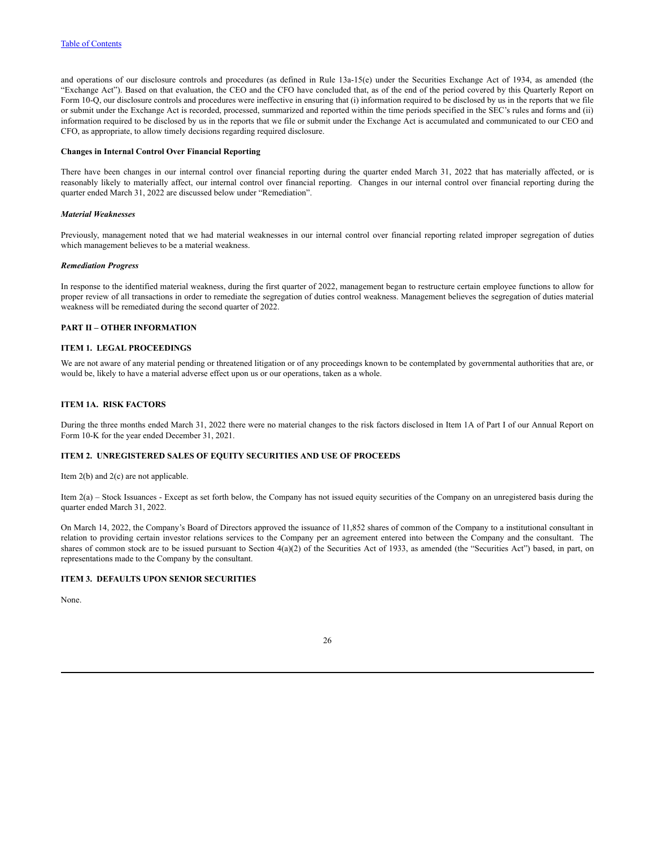and operations of our disclosure controls and procedures (as defined in Rule 13a-15(e) under the Securities Exchange Act of 1934, as amended (the "Exchange Act"). Based on that evaluation, the CEO and the CFO have concluded that, as of the end of the period covered by this Quarterly Report on Form 10-Q, our disclosure controls and procedures were ineffective in ensuring that (i) information required to be disclosed by us in the reports that we file or submit under the Exchange Act is recorded, processed, summarized and reported within the time periods specified in the SEC's rules and forms and (ii) information required to be disclosed by us in the reports that we file or submit under the Exchange Act is accumulated and communicated to our CEO and CFO, as appropriate, to allow timely decisions regarding required disclosure.

### **Changes in Internal Control Over Financial Reporting**

There have been changes in our internal control over financial reporting during the quarter ended March 31, 2022 that has materially affected, or is reasonably likely to materially affect, our internal control over financial reporting. Changes in our internal control over financial reporting during the quarter ended March 31, 2022 are discussed below under "Remediation".

#### *Material Weaknesses*

Previously, management noted that we had material weaknesses in our internal control over financial reporting related improper segregation of duties which management believes to be a material weakness.

### *Remediation Progress*

In response to the identified material weakness, during the first quarter of 2022, management began to restructure certain employee functions to allow for proper review of all transactions in order to remediate the segregation of duties control weakness. Management believes the segregation of duties material weakness will be remediated during the second quarter of 2022.

### <span id="page-26-0"></span>**PART II – OTHER INFORMATION**

### <span id="page-26-1"></span>**ITEM 1. LEGAL PROCEEDINGS**

We are not aware of any material pending or threatened litigation or of any proceedings known to be contemplated by governmental authorities that are, or would be, likely to have a material adverse effect upon us or our operations, taken as a whole.

## <span id="page-26-2"></span>**ITEM 1A. RISK FACTORS**

During the three months ended March 31, 2022 there were no material changes to the risk factors disclosed in Item 1A of Part I of our Annual Report on Form 10-K for the year ended December 31, 2021.

## <span id="page-26-3"></span>**ITEM 2. UNREGISTERED SALES OF EQUITY SECURITIES AND USE OF PROCEEDS**

Item 2(b) and 2(c) are not applicable.

Item 2(a) – Stock Issuances - Except as set forth below, the Company has not issued equity securities of the Company on an unregistered basis during the quarter ended March 31, 2022.

On March 14, 2022, the Company's Board of Directors approved the issuance of 11,852 shares of common of the Company to a institutional consultant in relation to providing certain investor relations services to the Company per an agreement entered into between the Company and the consultant. The shares of common stock are to be issued pursuant to Section 4(a)(2) of the Securities Act of 1933, as amended (the "Securities Act") based, in part, on representations made to the Company by the consultant.

## <span id="page-26-4"></span>**ITEM 3. DEFAULTS UPON SENIOR SECURITIES**

None.

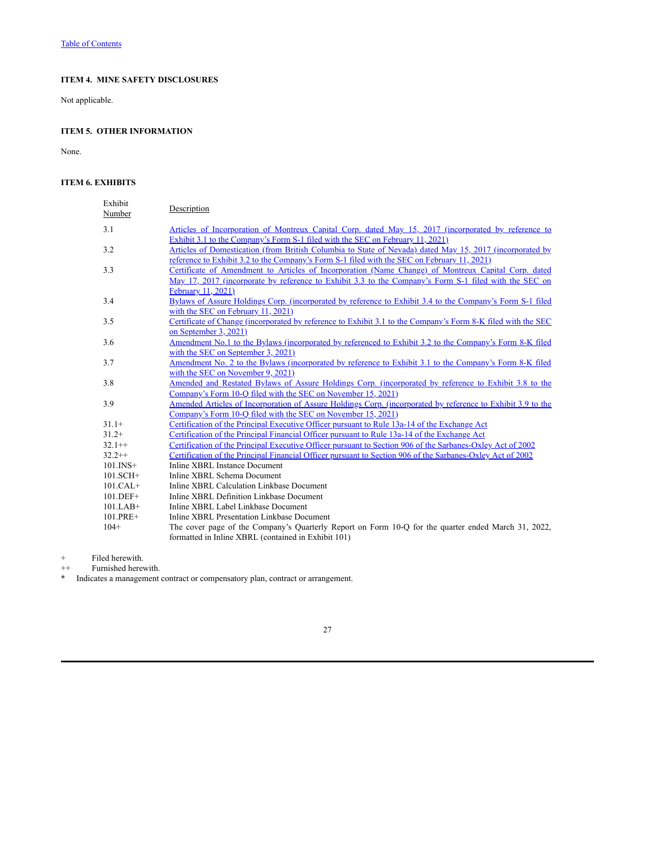# <span id="page-27-0"></span>**ITEM 4. MINE SAFETY DISCLOSURES**

Not applicable.

# <span id="page-27-1"></span>**ITEM 5. OTHER INFORMATION**

None.

## <span id="page-27-2"></span>**ITEM 6. EXHIBITS**

| Exhibit<br>Number | Description                                                                                                                                                                                                                        |
|-------------------|------------------------------------------------------------------------------------------------------------------------------------------------------------------------------------------------------------------------------------|
| 3.1               | Articles of Incorporation of Montreux Capital Corp. dated May 15, 2017 (incorporated by reference to<br>Exhibit 3.1 to the Company's Form S-1 filed with the SEC on February 11, 2021)                                             |
| 3.2               | Articles of Domestication (from British Columbia to State of Nevada) dated May 15, 2017 (incorporated by<br>reference to Exhibit 3.2 to the Company's Form S-1 filed with the SEC on February 11, 2021)                            |
| 3.3               | Certificate of Amendment to Articles of Incorporation (Name Change) of Montreux Capital Corp. dated<br>May 17, 2017 (incorporate by reference to Exhibit 3.3 to the Company's Form S-1 filed with the SEC on<br>February 11, 2021) |
| 3.4               | Bylaws of Assure Holdings Corp. (incorporated by reference to Exhibit 3.4 to the Company's Form S-1 filed<br>with the SEC on February 11, 2021)                                                                                    |
| 3.5               | Certificate of Change (incorporated by reference to Exhibit 3.1 to the Company's Form 8-K filed with the SEC<br>on September 3, 2021)                                                                                              |
| 3.6               | Amendment No.1 to the Bylaws (incorporated by referenced to Exhibit 3.2 to the Company's Form 8-K filed<br>with the SEC on September 3, 2021)                                                                                      |
| 3.7               | Amendment No. 2 to the Bylaws (incorporated by reference to Exhibit 3.1 to the Company's Form 8-K filed<br>with the SEC on November 9, 2021)                                                                                       |
| 3.8               | Amended and Restated Bylaws of Assure Holdings Corp. (incorporated by reference to Exhibit 3.8 to the<br>Company's Form 10-Q filed with the SEC on November 15, 2021)                                                              |
| 3.9               | Amended Articles of Incorporation of Assure Holdings Corp. (incorporated by reference to Exhibit 3.9 to the<br>Company's Form 10-O filed with the SEC on November 15, 2021)                                                        |
| $31.1+$           | Certification of the Principal Executive Officer pursuant to Rule 13a-14 of the Exchange Act                                                                                                                                       |
| $31.2+$           | Certification of the Principal Financial Officer pursuant to Rule 13a-14 of the Exchange Act                                                                                                                                       |
| $32.1++$          | Certification of the Principal Executive Officer pursuant to Section 906 of the Sarbanes-Oxley Act of 2002                                                                                                                         |
| $32.2++$          | Certification of the Principal Financial Officer pursuant to Section 906 of the Sarbanes-Oxley Act of 2002                                                                                                                         |
| $101$ . INS+      | Inline XBRL Instance Document                                                                                                                                                                                                      |
| $101.SCH+$        | Inline XBRL Schema Document                                                                                                                                                                                                        |
| $101.CAL+$        | Inline XBRL Calculation Linkbase Document                                                                                                                                                                                          |
| $101.DEF+$        | Inline XBRL Definition Linkbase Document                                                                                                                                                                                           |
| $101.LAB+$        | Inline XBRL Label Linkbase Document                                                                                                                                                                                                |
| 101.PRE+          | Inline XBRL Presentation Linkbase Document                                                                                                                                                                                         |
| $104+$            | The cover page of the Company's Quarterly Report on Form 10-Q for the quarter ended March 31, 2022,                                                                                                                                |
|                   | formatted in Inline XBRL (contained in Exhibit 101)                                                                                                                                                                                |

+ Filed herewith.

++ Furnished herewith.

\* Indicates a management contract or compensatory plan, contract or arrangement.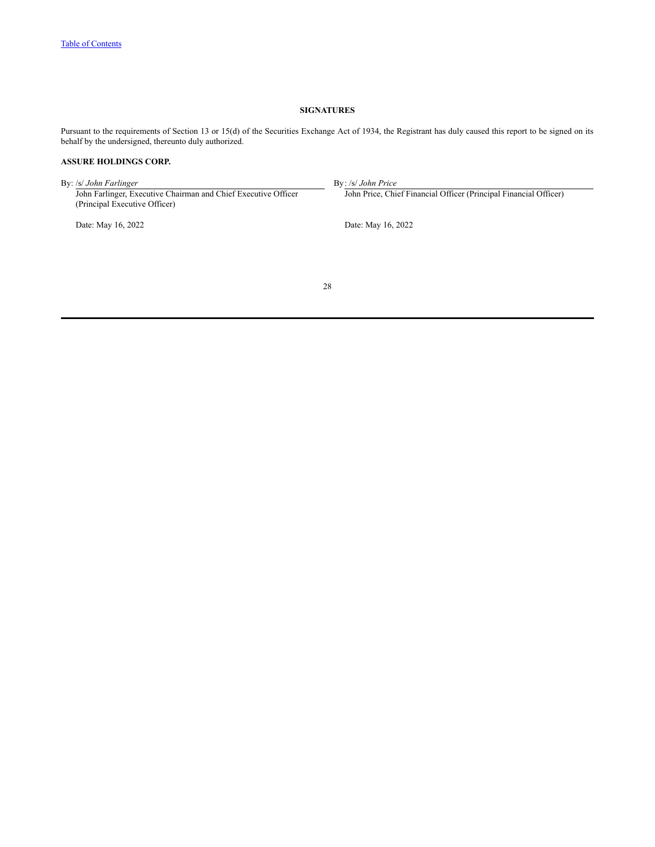## **SIGNATURES**

<span id="page-28-0"></span>Pursuant to the requirements of Section 13 or 15(d) of the Securities Exchange Act of 1934, the Registrant has duly caused this report to be signed on its behalf by the undersigned, thereunto duly authorized.

## **ASSURE HOLDINGS CORP.**

By: /s/ *John Farlinger* By: /s/ *John Price* John Farlinger, Executive Chairman and Chief Executive Officer John Price, Chief Financial Officer (Principal Financial Officer) (Principal Executive Officer) Date: May 16, 2022 Date: May 16, 2022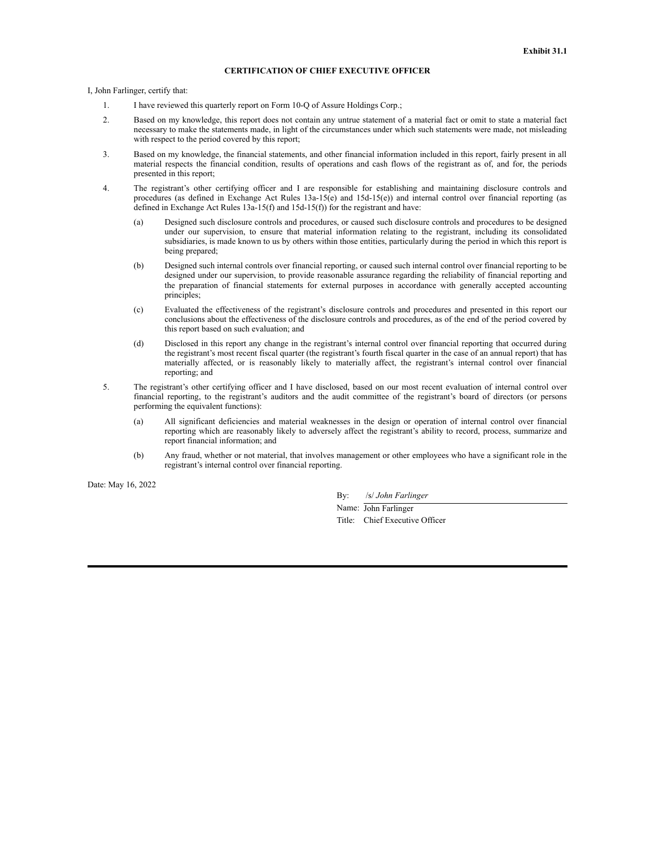## **CERTIFICATION OF CHIEF EXECUTIVE OFFICER**

I, John Farlinger, certify that:

- 1. I have reviewed this quarterly report on Form 10-Q of Assure Holdings Corp.;
- 2. Based on my knowledge, this report does not contain any untrue statement of a material fact or omit to state a material fact necessary to make the statements made, in light of the circumstances under which such statements were made, not misleading with respect to the period covered by this report;
- 3. Based on my knowledge, the financial statements, and other financial information included in this report, fairly present in all material respects the financial condition, results of operations and cash flows of the registrant as of, and for, the periods presented in this report;
- 4. The registrant's other certifying officer and I are responsible for establishing and maintaining disclosure controls and procedures (as defined in Exchange Act Rules  $13a-15(e)$  and  $15d-15(e)$ ) and internal control over financial reporting (as defined in Exchange Act Rules 13a-15(f) and 15d-15(f)) for the registrant and have:
	- (a) Designed such disclosure controls and procedures, or caused such disclosure controls and procedures to be designed under our supervision, to ensure that material information relating to the registrant, including its consolidated subsidiaries, is made known to us by others within those entities, particularly during the period in which this report is being prepared;
	- (b) Designed such internal controls over financial reporting, or caused such internal control over financial reporting to be designed under our supervision, to provide reasonable assurance regarding the reliability of financial reporting and the preparation of financial statements for external purposes in accordance with generally accepted accounting principles;
	- (c) Evaluated the effectiveness of the registrant's disclosure controls and procedures and presented in this report our conclusions about the effectiveness of the disclosure controls and procedures, as of the end of the period covered by this report based on such evaluation; and
	- (d) Disclosed in this report any change in the registrant's internal control over financial reporting that occurred during the registrant's most recent fiscal quarter (the registrant's fourth fiscal quarter in the case of an annual report) that has materially affected, or is reasonably likely to materially affect, the registrant's internal control over financial reporting; and
- 5. The registrant's other certifying officer and I have disclosed, based on our most recent evaluation of internal control over financial reporting, to the registrant's auditors and the audit committee of the registrant's board of directors (or persons performing the equivalent functions):
	- (a) All significant deficiencies and material weaknesses in the design or operation of internal control over financial reporting which are reasonably likely to adversely affect the registrant's ability to record, process, summarize and report financial information; and
	- (b) Any fraud, whether or not material, that involves management or other employees who have a significant role in the registrant's internal control over financial reporting.

Date: May 16, 2022

By: /s/ *John Farlinger*

Name: John Farlinger Title: Chief Executive Officer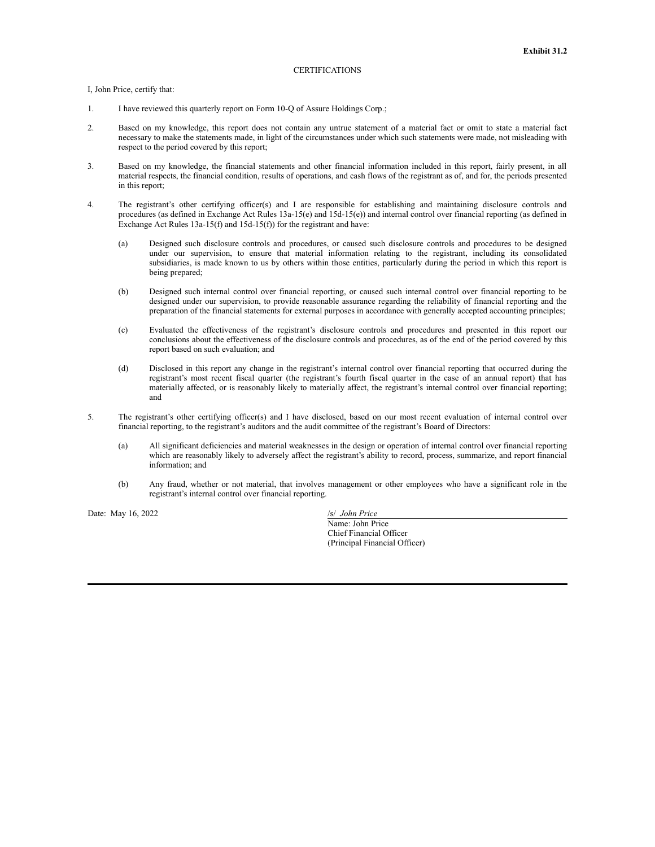#### CERTIFICATIONS

I, John Price, certify that:

- 1. I have reviewed this quarterly report on Form 10-Q of Assure Holdings Corp.;
- 2. Based on my knowledge, this report does not contain any untrue statement of a material fact or omit to state a material fact necessary to make the statements made, in light of the circumstances under which such statements were made, not misleading with respect to the period covered by this report;
- 3. Based on my knowledge, the financial statements and other financial information included in this report, fairly present, in all material respects, the financial condition, results of operations, and cash flows of the registrant as of, and for, the periods presented in this report;
- 4. The registrant's other certifying officer(s) and I are responsible for establishing and maintaining disclosure controls and procedures (as defined in Exchange Act Rules 13a-15(e) and 15d-15(e)) and internal control over financial reporting (as defined in Exchange Act Rules 13a-15(f) and 15d-15(f)) for the registrant and have:
	- (a) Designed such disclosure controls and procedures, or caused such disclosure controls and procedures to be designed under our supervision, to ensure that material information relating to the registrant, including its consolidated subsidiaries, is made known to us by others within those entities, particularly during the period in which this report is being prepared;
	- (b) Designed such internal control over financial reporting, or caused such internal control over financial reporting to be designed under our supervision, to provide reasonable assurance regarding the reliability of financial reporting and the preparation of the financial statements for external purposes in accordance with generally accepted accounting principles;
	- (c) Evaluated the effectiveness of the registrant's disclosure controls and procedures and presented in this report our conclusions about the effectiveness of the disclosure controls and procedures, as of the end of the period covered by this report based on such evaluation; and
	- (d) Disclosed in this report any change in the registrant's internal control over financial reporting that occurred during the registrant's most recent fiscal quarter (the registrant's fourth fiscal quarter in the case of an annual report) that has materially affected, or is reasonably likely to materially affect, the registrant's internal control over financial reporting; and
- 5. The registrant's other certifying officer(s) and I have disclosed, based on our most recent evaluation of internal control over financial reporting, to the registrant's auditors and the audit committee of the registrant's Board of Directors:
	- (a) All significant deficiencies and material weaknesses in the design or operation of internal control over financial reporting which are reasonably likely to adversely affect the registrant's ability to record, process, summarize, and report financial information; and
	- (b) Any fraud, whether or not material, that involves management or other employees who have a significant role in the registrant's internal control over financial reporting.

Date: May 16, 2022 /s/ *John Price* 

Name: John Price Chief Financial Officer (Principal Financial Officer)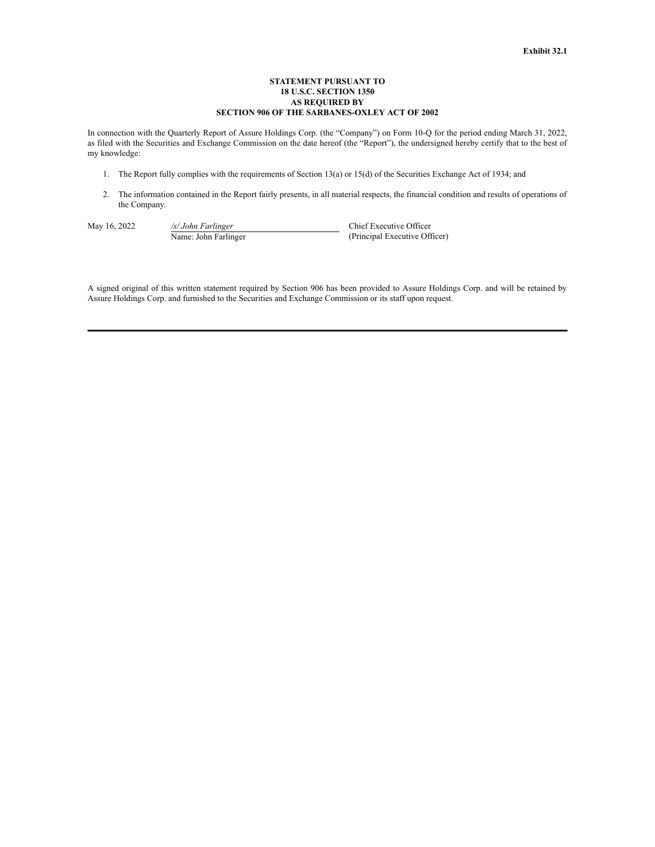## **STATEMENT PURSUANT TO 18 U.S.C. SECTION 1350 AS REQUIRED BY SECTION 906 OF THE SARBANES-OXLEY ACT OF 2002**

In connection with the Quarterly Report of Assure Holdings Corp. (the "Company") on Form 10-Q for the period ending March 31, 2022, as filed with the Securities and Exchange Commission on the date hereof (the "Report"), the undersigned hereby certify that to the best of my knowledge:

- 1. The Report fully complies with the requirements of Section 13(a) or 15(d) of the Securities Exchange Act of 1934; and
- 2. The information contained in the Report fairly presents, in all material respects, the financial condition and results of operations of the Company.

May 16, 2022 */s/ John Farlinger* Chief Executive Officer Name: John Farlinger (Principal Executive Officer)

A signed original of this written statement required by Section 906 has been provided to Assure Holdings Corp. and will be retained by Assure Holdings Corp. and furnished to the Securities and Exchange Commission or its staff upon request.